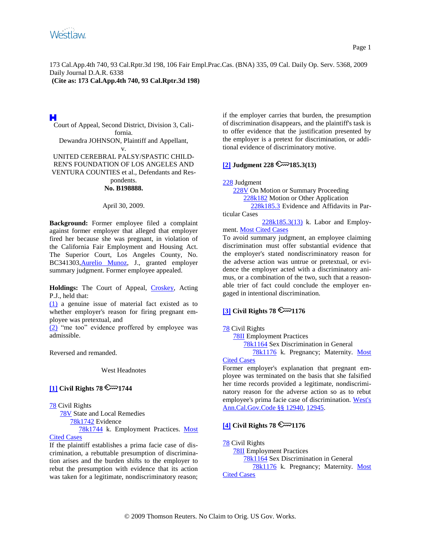**(Cite as: 173 Cal.App.4th 740, 93 Cal.Rptr.3d 198)**

# н

Court of Appeal, Second District, Division 3, California. Dewandra JOHNSON, Plaintiff and Appellant, v. UNITED CEREBRAL PALSY/SPASTIC CHILD-

REN'S FOUNDATION OF LOS ANGELES AND VENTURA COUNTIES et al., Defendants and Res-

#### pondents. **No. B198888.**

### April 30, 2009.

**Background:** Former employee filed a complaint against former employer that alleged that employer fired her because she was pregnant, in violation of the California Fair Employment and Housing Act. The Superior Court, Los Angeles County, No. BC341303[,Aurelio Munoz,](http://www.westlaw.com/Find/Default.wl?rs=dfa1.0&vr=2.0&DB=PROFILER-WLD&DocName=0129339901&FindType=h) J., granted employer summary judgment. Former employee appealed.

**Holdings:** The Court of Appeal, [Croskey,](http://www.westlaw.com/Find/Default.wl?rs=dfa1.0&vr=2.0&DB=PROFILER-WLD&DocName=0155882601&FindType=h) Acting P.J., held that:

[\(1\)](#page-10-0) a genuine issue of material fact existed as to whether employer's reason for firing pregnant employee was pretextual, and

[\(2\)](#page-11-0) "me too" evidence proffered by employee was admissible.

Reversed and remanded.

West Headnotes

## <span id="page-0-0"></span> $\left[1\right]$  Civil Rights 78  $\mathbb{C}$ <sup>1744</sup>

### [78](http://www.westlaw.com/KeyNumber/Default.wl?rs=dfa1.0&vr=2.0&CMD=KEY&DocName=78) Civil Rights

 [78V](http://www.westlaw.com/KeyNumber/Default.wl?rs=dfa1.0&vr=2.0&CMD=KEY&DocName=78V) State and Local Remedies [78k1742](http://www.westlaw.com/KeyNumber/Default.wl?rs=dfa1.0&vr=2.0&CMD=KEY&DocName=78k1742) Evidence [78k1744](http://www.westlaw.com/KeyNumber/Default.wl?rs=dfa1.0&vr=2.0&CMD=KEY&DocName=78k1744) k. Employment Practices. [Most](http://www.westlaw.com/Digest/Default.wl?rs=dfa1.0&vr=2.0&CMD=MCC&DocName=78k1744) 

#### [Cited Cases](http://www.westlaw.com/Digest/Default.wl?rs=dfa1.0&vr=2.0&CMD=MCC&DocName=78k1744)

If the plaintiff establishes a prima facie case of discrimination, a rebuttable presumption of discrimination arises and the burden shifts to the employer to rebut the presumption with evidence that its action was taken for a legitimate, nondiscriminatory reason; if the employer carries that burden, the presumption of discrimination disappears, and the plaintiff's task is to offer evidence that the justification presented by the employer is a pretext for discrimination, or additional evidence of discriminatory motive.

## <span id="page-0-1"></span> $\sqrt{2}$ ] **Judgment** 228  $\sqrt{2}$  185.3(13)

[228](http://www.westlaw.com/KeyNumber/Default.wl?rs=dfa1.0&vr=2.0&CMD=KEY&DocName=228) Judgment

 [228V](http://www.westlaw.com/KeyNumber/Default.wl?rs=dfa1.0&vr=2.0&CMD=KEY&DocName=228V) On Motion or Summary Proceeding [228k182](http://www.westlaw.com/KeyNumber/Default.wl?rs=dfa1.0&vr=2.0&CMD=KEY&DocName=228k182) Motion or Other Application [228k185.3](http://www.westlaw.com/KeyNumber/Default.wl?rs=dfa1.0&vr=2.0&CMD=KEY&DocName=228k185.3) Evidence and Affidavits in Particular Cases

 $228k185.3(13)$  k. Labor and Employment. [Most Cited Cases](http://www.westlaw.com/Digest/Default.wl?rs=dfa1.0&vr=2.0&CMD=MCC&DocName=228k185.3%2813%29)

To avoid summary judgment, an employee claiming discrimination must offer substantial evidence that the employer's stated nondiscriminatory reason for the adverse action was untrue or pretextual, or evidence the employer acted with a discriminatory animus, or a combination of the two, such that a reasonable trier of fact could conclude the employer engaged in intentional discrimination.

## <span id="page-0-2"></span> $\overline{[3]}$  $\overline{[3]}$  $\overline{[3]}$  Civil Rights  $78 \approx 1176$

### [78](http://www.westlaw.com/KeyNumber/Default.wl?rs=dfa1.0&vr=2.0&CMD=KEY&DocName=78) Civil Rights

[78II](http://www.westlaw.com/KeyNumber/Default.wl?rs=dfa1.0&vr=2.0&CMD=KEY&DocName=78II) Employment Practices

[78k1164](http://www.westlaw.com/KeyNumber/Default.wl?rs=dfa1.0&vr=2.0&CMD=KEY&DocName=78k1164) Sex Discrimination in General

[78k1176](http://www.westlaw.com/KeyNumber/Default.wl?rs=dfa1.0&vr=2.0&CMD=KEY&DocName=78k1176) k. Pregnancy; Maternity. Most [Cited Cases](http://www.westlaw.com/Digest/Default.wl?rs=dfa1.0&vr=2.0&CMD=MCC&DocName=78k1176)

Former employer's explanation that pregnant employee was terminated on the basis that she falsified her time records provided a legitimate, nondiscriminatory reason for the adverse action so as to rebut employee's prima facie case of discrimination. [West's](http://www.westlaw.com/Find/Default.wl?rs=dfa1.0&vr=2.0&DB=1000211&DocName=CAGTS12940&FindType=L)  [Ann.Cal.Gov.Code §§ 12940,](http://www.westlaw.com/Find/Default.wl?rs=dfa1.0&vr=2.0&DB=1000211&DocName=CAGTS12940&FindType=L) [12945.](http://www.westlaw.com/Find/Default.wl?rs=dfa1.0&vr=2.0&DB=1000211&DocName=CAGTS12945&FindType=L)

# <span id="page-0-3"></span>**[\[4\]](#page-9-2)** Civil Rights 78  $\sim$  1176

[78](http://www.westlaw.com/KeyNumber/Default.wl?rs=dfa1.0&vr=2.0&CMD=KEY&DocName=78) Civil Rights [78II](http://www.westlaw.com/KeyNumber/Default.wl?rs=dfa1.0&vr=2.0&CMD=KEY&DocName=78II) Employment Practices [78k1164](http://www.westlaw.com/KeyNumber/Default.wl?rs=dfa1.0&vr=2.0&CMD=KEY&DocName=78k1164) Sex Discrimination in General [78k1176](http://www.westlaw.com/KeyNumber/Default.wl?rs=dfa1.0&vr=2.0&CMD=KEY&DocName=78k1176) k. Pregnancy; Maternity. [Most](http://www.westlaw.com/Digest/Default.wl?rs=dfa1.0&vr=2.0&CMD=MCC&DocName=78k1176)  [Cited Cases](http://www.westlaw.com/Digest/Default.wl?rs=dfa1.0&vr=2.0&CMD=MCC&DocName=78k1176)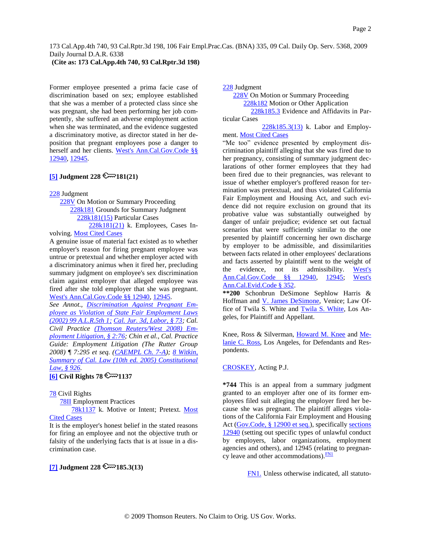## **(Cite as: 173 Cal.App.4th 740, 93 Cal.Rptr.3d 198)**

Former employee presented a prima facie case of discrimination based on sex; employee established that she was a member of a protected class since she was pregnant, she had been performing her job competently, she suffered an adverse employment action when she was terminated, and the evidence suggested a discriminatory motive, as director stated in her deposition that pregnant employees pose a danger to herself and her clients. [West's Ann.Cal.Gov.Code §§](http://www.westlaw.com/Find/Default.wl?rs=dfa1.0&vr=2.0&DB=1000211&DocName=CAGTS12940&FindType=L)  [12940,](http://www.westlaw.com/Find/Default.wl?rs=dfa1.0&vr=2.0&DB=1000211&DocName=CAGTS12940&FindType=L) [12945.](http://www.westlaw.com/Find/Default.wl?rs=dfa1.0&vr=2.0&DB=1000211&DocName=CAGTS12945&FindType=L)

# <span id="page-1-2"></span> $[5]$  **Judgment** 228  $\sim$  181(21)

[228](http://www.westlaw.com/KeyNumber/Default.wl?rs=dfa1.0&vr=2.0&CMD=KEY&DocName=228) Judgment

 [228V](http://www.westlaw.com/KeyNumber/Default.wl?rs=dfa1.0&vr=2.0&CMD=KEY&DocName=228V) On Motion or Summary Proceeding [228k181](http://www.westlaw.com/KeyNumber/Default.wl?rs=dfa1.0&vr=2.0&CMD=KEY&DocName=228k181) Grounds for Summary Judgment [228k181\(15\)](http://www.westlaw.com/KeyNumber/Default.wl?rs=dfa1.0&vr=2.0&CMD=KEY&DocName=228k181%2815%29) Particular Cases [228k181\(21\)](http://www.westlaw.com/KeyNumber/Default.wl?rs=dfa1.0&vr=2.0&CMD=KEY&DocName=228k181%2821%29) k. Employees, Cases In-

# volving. [Most Cited Cases](http://www.westlaw.com/Digest/Default.wl?rs=dfa1.0&vr=2.0&CMD=MCC&DocName=228k181%2821%29)

A genuine issue of material fact existed as to whether employer's reason for firing pregnant employee was untrue or pretextual and whether employer acted with a discriminatory animus when it fired her, precluding summary judgment on employee's sex discrimination claim against employer that alleged employee was fired after she told employer that she was pregnant. [West's Ann.Cal.Gov.Code §§ 12940,](http://www.westlaw.com/Find/Default.wl?rs=dfa1.0&vr=2.0&DB=1000211&DocName=CAGTS12940&FindType=L) [12945.](http://www.westlaw.com/Find/Default.wl?rs=dfa1.0&vr=2.0&DB=1000211&DocName=CAGTS12945&FindType=L)

*See Annot., [Discrimination Against Pregnant Em](http://www.westlaw.com/Find/Default.wl?rs=dfa1.0&vr=2.0&DB=4087&FindType=Y&SerialNum=2002328224)[ployee as Violation of State Fair Employment Laws](http://www.westlaw.com/Find/Default.wl?rs=dfa1.0&vr=2.0&DB=4087&FindType=Y&SerialNum=2002328224)  [\(2002\) 99 A.L.R.5th 1;](http://www.westlaw.com/Find/Default.wl?rs=dfa1.0&vr=2.0&DB=4087&FindType=Y&SerialNum=2002328224) [Cal. Jur. 3d, Labor, § 73;](http://www.westlaw.com/Find/Default.wl?rs=dfa1.0&vr=2.0&DB=0122488&FindType=Y&SerialNum=0284158202) Cal. Civil Practice [\(Thomson Reuters/West 2008\) Em](http://www.westlaw.com/Find/Default.wl?rs=dfa1.0&vr=2.0&DB=0126977&FindType=Y&SerialNum=0292791097)[ployment Litigation, § 2:76;](http://www.westlaw.com/Find/Default.wl?rs=dfa1.0&vr=2.0&DB=0126977&FindType=Y&SerialNum=0292791097) Chin et al., Cal. Practice Guide: Employment Litigation (The Rutter Group 2008) ¶ 7:295 et seq. [\(CAEMPL Ch. 7-A\)](http://www.westlaw.com/Find/Default.wl?rs=dfa1.0&vr=2.0&DB=0152891&FindType=Y&SerialNum=0287827094); [8 Witkin,](http://www.westlaw.com/Find/Default.wl?rs=dfa1.0&vr=2.0&DB=0155640&FindType=Y&SerialNum=0305875417)  [Summary of Cal. Law \(10th ed. 2005\) Constitutional](http://www.westlaw.com/Find/Default.wl?rs=dfa1.0&vr=2.0&DB=0155640&FindType=Y&SerialNum=0305875417)  [Law, § 926.](http://www.westlaw.com/Find/Default.wl?rs=dfa1.0&vr=2.0&DB=0155640&FindType=Y&SerialNum=0305875417)*

## <span id="page-1-3"></span> $\overline{6}$  Civil Rights 78  $\overline{\mathbb{R}}$  1137

### [78](http://www.westlaw.com/KeyNumber/Default.wl?rs=dfa1.0&vr=2.0&CMD=KEY&DocName=78) Civil Rights

[78II](http://www.westlaw.com/KeyNumber/Default.wl?rs=dfa1.0&vr=2.0&CMD=KEY&DocName=78II) Employment Practices

 [78k1137](http://www.westlaw.com/KeyNumber/Default.wl?rs=dfa1.0&vr=2.0&CMD=KEY&DocName=78k1137) k. Motive or Intent; Pretext. [Most](http://www.westlaw.com/Digest/Default.wl?rs=dfa1.0&vr=2.0&CMD=MCC&DocName=78k1137)  [Cited Cases](http://www.westlaw.com/Digest/Default.wl?rs=dfa1.0&vr=2.0&CMD=MCC&DocName=78k1137)

It is the employer's honest belief in the stated reasons for firing an employee and not the objective truth or falsity of the underlying facts that is at issue in a discrimination case.

# <span id="page-1-4"></span> $[7]$  **Judgment 228**  $\mathbb{R}$  185.3(13)

[228](http://www.westlaw.com/KeyNumber/Default.wl?rs=dfa1.0&vr=2.0&CMD=KEY&DocName=228) Judgment

 [228V](http://www.westlaw.com/KeyNumber/Default.wl?rs=dfa1.0&vr=2.0&CMD=KEY&DocName=228V) On Motion or Summary Proceeding [228k182](http://www.westlaw.com/KeyNumber/Default.wl?rs=dfa1.0&vr=2.0&CMD=KEY&DocName=228k182) Motion or Other Application [228k185.3](http://www.westlaw.com/KeyNumber/Default.wl?rs=dfa1.0&vr=2.0&CMD=KEY&DocName=228k185.3) Evidence and Affidavits in Par-

ticular Cases

 [228k185.3\(13\)](http://www.westlaw.com/KeyNumber/Default.wl?rs=dfa1.0&vr=2.0&CMD=KEY&DocName=228k185.3%2813%29) k. Labor and Employ-ment. [Most Cited Cases](http://www.westlaw.com/Digest/Default.wl?rs=dfa1.0&vr=2.0&CMD=MCC&DocName=228k185.3%2813%29)

"Me too" evidence presented by employment discrimination plaintiff alleging that she was fired due to her pregnancy, consisting of summary judgment declarations of other former employees that they had been fired due to their pregnancies, was relevant to issue of whether employer's proffered reason for termination was pretextual, and thus violated California Fair Employment and Housing Act, and such evidence did not require exclusion on ground that its probative value was substantially outweighed by danger of unfair prejudice; evidence set out factual scenarios that were sufficiently similar to the one presented by plaintiff concerning her own discharge by employer to be admissible, and dissimilarities between facts related in other employees' declarations and facts asserted by plaintiff went to the weight of the evidence, not its admissibility. West's [Ann.Cal.Gov.Code §§ 12940,](http://www.westlaw.com/Find/Default.wl?rs=dfa1.0&vr=2.0&DB=1000211&DocName=CAGTS12940&FindType=L) [12945;](http://www.westlaw.com/Find/Default.wl?rs=dfa1.0&vr=2.0&DB=1000211&DocName=CAGTS12945&FindType=L) [West's](http://www.westlaw.com/Find/Default.wl?rs=dfa1.0&vr=2.0&DB=1000207&DocName=CAEVS352&FindType=L)  [Ann.Cal.Evid.Code § 352.](http://www.westlaw.com/Find/Default.wl?rs=dfa1.0&vr=2.0&DB=1000207&DocName=CAEVS352&FindType=L)

**\*\*200** Schonbrun DeSimone Sephlow Harris & Hoffman and [V. James DeSimone,](http://www.westlaw.com/Find/Default.wl?rs=dfa1.0&vr=2.0&DB=PROFILER-WLD&DocName=0213737401&FindType=h) Venice; Law Office of Twila S. White and **Twila S. White**, Los Angeles, for Plaintiff and Appellant.

Knee, Ross & Silverman, [Howard M. Knee](http://www.westlaw.com/Find/Default.wl?rs=dfa1.0&vr=2.0&DB=PROFILER-WLD&DocName=0193955201&FindType=h) and [Me](http://www.westlaw.com/Find/Default.wl?rs=dfa1.0&vr=2.0&DB=PROFILER-WLD&DocName=0376080801&FindType=h)[lanie C. Ross,](http://www.westlaw.com/Find/Default.wl?rs=dfa1.0&vr=2.0&DB=PROFILER-WLD&DocName=0376080801&FindType=h) Los Angeles, for Defendants and Respondents.

### [CROSKEY,](http://www.westlaw.com/Find/Default.wl?rs=dfa1.0&vr=2.0&DB=PROFILER-WLD&DocName=0155882601&FindType=h) Acting P.J.

**\*744** This is an appeal from a summary judgment granted to an employer after one of its former employees filed suit alleging the employer fired her because she was pregnant. The plaintiff alleges violations of the California Fair Employment and Housing Act [\(Gov.Code, § 12900 et seq.\)](http://www.westlaw.com/Find/Default.wl?rs=dfa1.0&vr=2.0&DB=1000211&DocName=CAGTS12900&FindType=L), specifically [sections](http://www.westlaw.com/Find/Default.wl?rs=dfa1.0&vr=2.0&DB=1000211&DocName=CAGTS12940&FindType=L)  [12940](http://www.westlaw.com/Find/Default.wl?rs=dfa1.0&vr=2.0&DB=1000211&DocName=CAGTS12940&FindType=L) (setting out specific types of unlawful conduct by employers, labor organizations, employment agencies and others), and 12945 (relating to pregnancy leave and other accommodations). $\frac{FN1}{FN}$  $\frac{FN1}{FN}$  $\frac{FN1}{FN}$ 

<span id="page-1-1"></span><span id="page-1-0"></span>[FN1.](#page-1-1) Unless otherwise indicated, all statuto-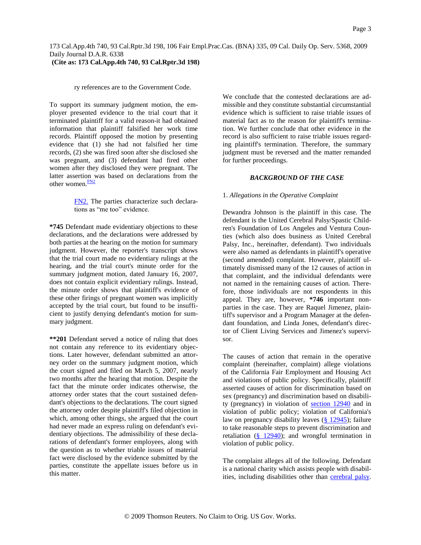ry references are to the Government Code.

To support its summary judgment motion, the employer presented evidence to the trial court that it terminated plaintiff for a valid reason-it had obtained information that plaintiff falsified her work time records. Plaintiff opposed the motion by presenting evidence that (1) she had not falsified her time records, (2) she was fired soon after she disclosed she was pregnant, and (3) defendant had fired other women after they disclosed they were pregnant. The latter assertion was based on declarations from the other women. $\frac{FN2}{FN}$  $\frac{FN2}{FN}$  $\frac{FN2}{FN}$ 

> <span id="page-2-1"></span><span id="page-2-0"></span>[FN2.](#page-2-1) The parties characterize such declarations as "me too" evidence.

**\*745** Defendant made evidentiary objections to these declarations, and the declarations were addressed by both parties at the hearing on the motion for summary judgment. However, the reporter's transcript shows that the trial court made no evidentiary rulings at the hearing, and the trial court's minute order for the summary judgment motion, dated January 16, 2007, does not contain explicit evidentiary rulings. Instead, the minute order shows that plaintiff's evidence of these other firings of pregnant women was implicitly accepted by the trial court, but found to be insufficient to justify denying defendant's motion for summary judgment.

**\*\*201** Defendant served a notice of ruling that does not contain any reference to its evidentiary objections. Later however, defendant submitted an attorney order on the summary judgment motion, which the court signed and filed on March 5, 2007, nearly two months after the hearing that motion. Despite the fact that the minute order indicates otherwise, the attorney order states that the court sustained defendant's objections to the declarations. The court signed the attorney order despite plaintiff's filed objection in which, among other things, she argued that the court had never made an express ruling on defendant's evidentiary objections. The admissibility of these declarations of defendant's former employees, along with the question as to whether triable issues of material fact were disclosed by the evidence submitted by the parties, constitute the appellate issues before us in this matter.

We conclude that the contested declarations are admissible and they constitute substantial circumstantial evidence which is sufficient to raise triable issues of material fact as to the reason for plaintiff's termination. We further conclude that other evidence in the record is also sufficient to raise triable issues regarding plaintiff's termination. Therefore, the summary judgment must be reversed and the matter remanded for further proceedings.

## *BACKGROUND OF THE CASE*

## 1. *Allegations in the Operative Complaint*

Dewandra Johnson is the plaintiff in this case. The defendant is the United Cerebral Palsy/Spastic Children's Foundation of Los Angeles and Ventura Counties (which also does business as United Cerebral Palsy, Inc., hereinafter, defendant). Two individuals were also named as defendants in plaintiff's operative (second amended) complaint. However, plaintiff ultimately dismissed many of the 12 causes of action in that complaint, and the individual defendants were not named in the remaining causes of action. Therefore, those individuals are not respondents in this appeal. They are, however, **\*746** important nonparties in the case. They are Raquel Jimenez, plaintiff's supervisor and a Program Manager at the defendant foundation, and Linda Jones, defendant's director of Client Living Services and Jimenez's supervisor.

The causes of action that remain in the operative complaint (hereinafter, complaint) allege violations of the California Fair Employment and Housing Act and violations of public policy. Specifically, plaintiff asserted causes of action for discrimination based on sex (pregnancy) and discrimination based on disability (pregnancy) in violation of [section 12940](http://www.westlaw.com/Find/Default.wl?rs=dfa1.0&vr=2.0&DB=1000211&DocName=CAGTS12940&FindType=L) and in violation of public policy; violation of California's law on pregnancy disability leaves  $(\S 12945)$ ; failure to take reasonable steps to prevent discrimination and retaliation  $(\frac{8}{212940})$ ; and wrongful termination in violation of public policy.

The complaint alleges all of the following. Defendant is a national charity which assists people with disabilities, including disabilities other than [cerebral palsy.](http://www.westlaw.com/Find/Default.wl?rs=dfa1.0&vr=2.0&CMD=ML&DocName=Ib778706e475411db9765f9243f53508a&FindType=UM)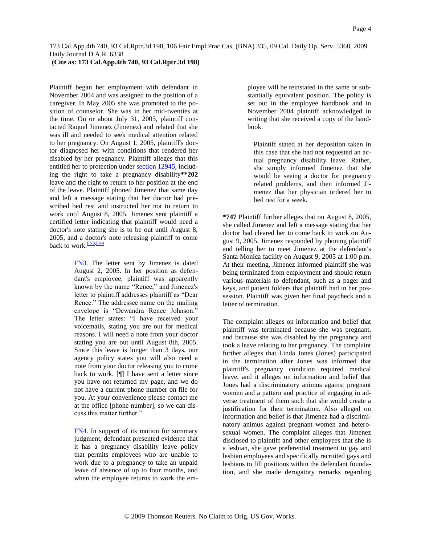### **(Cite as: 173 Cal.App.4th 740, 93 Cal.Rptr.3d 198)**

Plaintiff began her employment with defendant in November 2004 and was assigned to the position of a caregiver. In May 2005 she was promoted to the position of counselor. She was in her mid-twenties at the time. On or about July 31, 2005, plaintiff contacted Raquel Jimenez (Jimenez) and related that she was ill and needed to seek medical attention related to her pregnancy. On August 1, 2005, plaintiff's doctor diagnosed her with conditions that rendered her disabled by her pregnancy. Plaintiff alleges that this entitled her to protection unde[r section 12945,](http://www.westlaw.com/Find/Default.wl?rs=dfa1.0&vr=2.0&DB=1000211&DocName=CAGTS12945&FindType=L) including the right to take a pregnancy disability**\*\*202** leave and the right to return to her position at the end of the leave. Plaintiff phoned Jimenez that same day and left a message stating that her doctor had prescribed bed rest and instructed her not to return to work until August 8, 2005. Jimenez sent plaintiff a certified letter indicating that plaintiff would need a doctor's note stating she is to be out until August 8, 2005, and a doctor's note releasing plaintiff to come back to work.<sup>[FN3,](#page-3-0)[FN4](#page-3-1)</sup>

> <span id="page-3-3"></span><span id="page-3-2"></span><span id="page-3-0"></span>[FN3.](#page-3-2) The letter sent by Jimenez is dated August 2, 2005. In her position as defendant's employee, plaintiff was apparently known by the name "Renee," and Jimenez's letter to plaintiff addresses plaintiff as "Dear Renee." The addressee name on the mailing envelope is "Dewandra Renee Johnson." The letter states: "I have received your voicemails, stating you are out for medical reasons. I will need a note from your doctor stating you are out until August 8th, 2005. Since this leave is longer than 3 days, our agency policy states you will also need a note from your doctor releasing you to come back to work. [¶] I have sent a letter since you have not returned my page, and we do not have a current phone number on file for you. At your convenience please contact me at the office [phone number], so we can discuss this matter further."

> <span id="page-3-1"></span>[FN4.](#page-3-3) In support of its motion for summary judgment, defendant presented evidence that it has a pregnancy disability leave policy that permits employees who are unable to work due to a pregnancy to take an unpaid leave of absence of up to four months, and when the employee returns to work the em

ployee will be reinstated in the same or substantially equivalent position. The policy is set out in the employee handbook and in November 2004 plaintiff acknowledged in writing that she received a copy of the handbook.

Plaintiff stated at her deposition taken in this case that she had not requested an actual pregnancy disability leave. Rather, she simply informed Jimenez that she would be seeing a doctor for pregnancy related problems, and then informed Jimenez that her physician ordered her to bed rest for a week.

**\*747** Plaintiff further alleges that on August 8, 2005, she called Jimenez and left a message stating that her doctor had cleared her to come back to work on August 9, 2005. Jimenez responded by phoning plaintiff and telling her to meet Jimenez at the defendant's Santa Monica facility on August 9, 2005 at 1:00 p.m. At their meeting, Jimenez informed plaintiff she was being terminated from employment and should return various materials to defendant, such as a pager and keys, and patient folders that plaintiff had in her possession. Plaintiff was given her final paycheck and a letter of termination.

The complaint alleges on information and belief that plaintiff was terminated because she was pregnant, and because she was disabled by the pregnancy and took a leave relating to her pregnancy. The complaint further alleges that Linda Jones (Jones) participated in the termination after Jones was informed that plaintiff's pregnancy condition required medical leave, and it alleges on information and belief that Jones had a discriminatory animus against pregnant women and a pattern and practice of engaging in adverse treatment of them such that she would create a justification for their termination. Also alleged on information and belief is that Jimenez had a discriminatory animus against pregnant women and heterosexual women. The complaint alleges that Jimenez disclosed to plaintiff and other employees that she is a lesbian, she gave preferential treatment to gay and lesbian employees and specifically recruited gays and lesbians to fill positions within the defendant foundation, and she made derogatory remarks regarding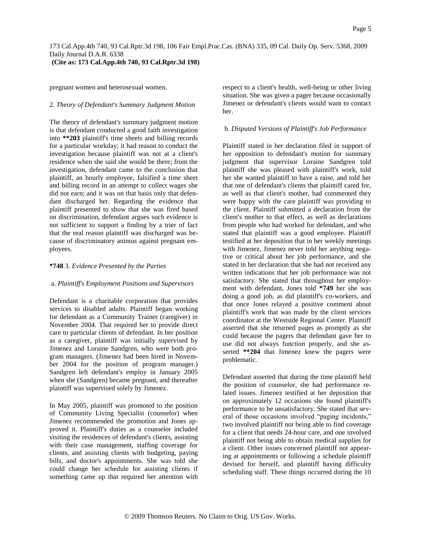pregnant women and heterosexual women.

#### 2. *Theory of Defendant's Summary Judgment Motion*

The theory of defendant's summary judgment motion is that defendant conducted a good faith investigation into **\*\*203** plaintiff's time sheets and billing records for a particular workday; it had reason to conduct the investigation because plaintiff was not at a client's residence when she said she would be there; from the investigation, defendant came to the conclusion that plaintiff, an hourly employee, falsified a time sheet and billing record in an attempt to collect wages she did not earn; and it was on that basis only that defendant discharged her. Regarding the evidence that plaintiff presented to show that she was fired based on discrimination, defendant argues such evidence is not sufficient to support a finding by a trier of fact that the real reason plaintiff was discharged was because of discriminatory animus against pregnant employees.

### **\*748** 3. *Evidence Presented by the Parties*

### a. *Plaintiff's Employment Positions and Supervisors*

Defendant is a charitable corporation that provides services to disabled adults. Plaintiff began working for defendant as a Community Trainer (caregiver) in November 2004. That required her to provide direct care to particular clients of defendant. In her position as a caregiver, plaintiff was initially supervised by Jimenez and Loraine Sandgren, who were both program managers. (Jimenez had been hired in November 2004 for the position of program manager.) Sandgren left defendant's employ in January 2005 when she (Sandgren) became pregnant, and thereafter plaintiff was supervised solely by Jimenez.

In May 2005, plaintiff was promoted to the position of Community Living Specialist (counselor) when Jimenez recommended the promotion and Jones approved it. Plaintiff's duties as a counselor included visiting the residences of defendant's clients, assisting with their case management, staffing coverage for clients, and assisting clients with budgeting, paying bills, and doctor's appointments. She was told she could change her schedule for assisting clients if something came up that required her attention with

respect to a client's health, well-being or other living situation. She was given a pager because occasionally Jimenez or defendant's clients would want to contact her.

#### b. *Disputed Versions of Plaintiff's Job Performance*

Plaintiff stated in her declaration filed in support of her opposition to defendant's motion for summary judgment that supervisor Loraine Sandgren told plaintiff she was pleased with plaintiff's work, told her she wanted plaintiff to have a raise, and told her that one of defendant's clients that plaintiff cared for, as well as that client's mother, had commented they were happy with the care plaintiff was providing to the client. Plaintiff submitted a declaration from the client's mother to that effect, as well as declarations from people who had worked for defendant, and who stated that plaintiff was a good employee. Plaintiff testified at her deposition that in her weekly meetings with Jimenez, Jimenez never told her anything negative or critical about her job performance, and she stated in her declaration that she had not received any written indications that her job performance was not satisfactory. She stated that throughout her employment with defendant, Jones told **\*749** her she was doing a good job, as did plaintiff's co-workers, and that once Jones relayed a positive comment about plaintiff's work that was made by the client services coordinator at the Westside Regional Center. Plaintiff asserted that she returned pages as promptly as she could because the pagers that defendant gave her to use did not always function properly, and she asserted **\*\*204** that Jimenez knew the pagers were problematic.

Defendant asserted that during the time plaintiff held the position of counselor, she had performance related issues. Jimenez testified at her deposition that on approximately 12 occasions she found plaintiff's performance to be unsatisfactory. She stated that several of those occasions involved "paging incidents," two involved plaintiff not being able to find coverage for a client that needs 24-hour care, and one involved plaintiff not being able to obtain medical supplies for a client. Other issues concerned plaintiff not appearing at appointments or following a schedule plaintiff devised for herself, and plaintiff having difficulty scheduling staff. These things occurred during the 10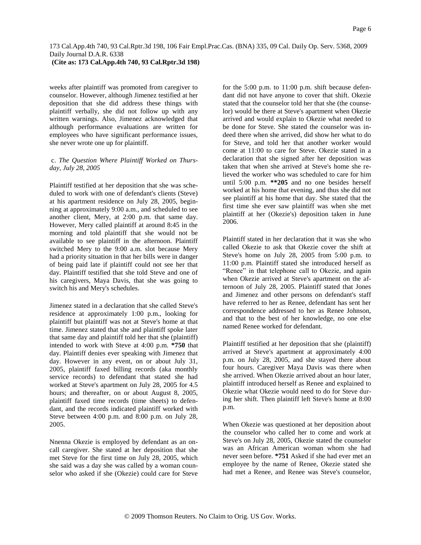# **(Cite as: 173 Cal.App.4th 740, 93 Cal.Rptr.3d 198)**

weeks after plaintiff was promoted from caregiver to counselor. However, although Jimenez testified at her deposition that she did address these things with plaintiff verbally, she did not follow up with any written warnings. Also, Jimenez acknowledged that although performance evaluations are written for employees who have significant performance issues, she never wrote one up for plaintiff.

## c. *The Question Where Plaintiff Worked on Thursday, July 28, 2005*

Plaintiff testified at her deposition that she was scheduled to work with one of defendant's clients (Steve) at his apartment residence on July 28, 2005, beginning at approximately 9:00 a.m., and scheduled to see another client, Mery, at 2:00 p.m. that same day. However, Mery called plaintiff at around 8:45 in the morning and told plaintiff that she would not be available to see plaintiff in the afternoon. Plaintiff switched Mery to the 9:00 a.m. slot because Mery had a priority situation in that her bills were in danger of being paid late if plaintiff could not see her that day. Plaintiff testified that she told Steve and one of his caregivers, Maya Davis, that she was going to switch his and Mery's schedules.

Jimenez stated in a declaration that she called Steve's residence at approximately 1:00 p.m., looking for plaintiff but plaintiff was not at Steve's home at that time. Jimenez stated that she and plaintiff spoke later that same day and plaintiff told her that she (plaintiff) intended to work with Steve at 4:00 p.m. **\*750** that day. Plaintiff denies ever speaking with Jimenez that day. However in any event, on or about July 31, 2005, plaintiff faxed billing records (aka monthly service records) to defendant that stated she had worked at Steve's apartment on July 28, 2005 for 4.5 hours; and thereafter, on or about August 8, 2005, plaintiff faxed time records (time sheets) to defendant, and the records indicated plaintiff worked with Steve between 4:00 p.m. and 8:00 p.m. on July 28, 2005.

Nnenna Okezie is employed by defendant as an oncall caregiver. She stated at her deposition that she met Steve for the first time on July 28, 2005, which she said was a day she was called by a woman counselor who asked if she (Okezie) could care for Steve for the 5:00 p.m. to 11:00 p.m. shift because defendant did not have anyone to cover that shift. Okezie stated that the counselor told her that she (the counselor) would be there at Steve's apartment when Okezie arrived and would explain to Okezie what needed to be done for Steve. She stated the counselor was indeed there when she arrived, did show her what to do for Steve, and told her that another worker would come at 11:00 to care for Steve. Okezie stated in a declaration that she signed after her deposition was taken that when she arrived at Steve's home she relieved the worker who was scheduled to care for him until 5:00 p.m. **\*\*205** and no one besides herself worked at his home that evening, and thus she did not see plaintiff at his home that day. She stated that the first time she ever saw plaintiff was when she met plaintiff at her (Okezie's) deposition taken in June 2006.

Plaintiff stated in her declaration that it was she who called Okezie to ask that Okezie cover the shift at Steve's home on July 28, 2005 from 5:00 p.m. to 11:00 p.m. Plaintiff stated she introduced herself as "Renee" in that telephone call to Okezie, and again when Okezie arrived at Steve's apartment on the afternoon of July 28, 2005. Plaintiff stated that Jones and Jimenez and other persons on defendant's staff have referred to her as Renee, defendant has sent her correspondence addressed to her as Renee Johnson, and that to the best of her knowledge, no one else named Renee worked for defendant.

Plaintiff testified at her deposition that she (plaintiff) arrived at Steve's apartment at approximately 4:00 p.m. on July 28, 2005, and she stayed there about four hours. Caregiver Maya Davis was there when she arrived. When Okezie arrived about an hour later, plaintiff introduced herself as Renee and explained to Okezie what Okezie would need to do for Steve during her shift. Then plaintiff left Steve's home at 8:00 p.m.

When Okezie was questioned at her deposition about the counselor who called her to come and work at Steve's on July 28, 2005, Okezie stated the counselor was an African American woman whom she had never seen before. **\*751** Asked if she had ever met an employee by the name of Renee, Okezie stated she had met a Renee, and Renee was Steve's counselor,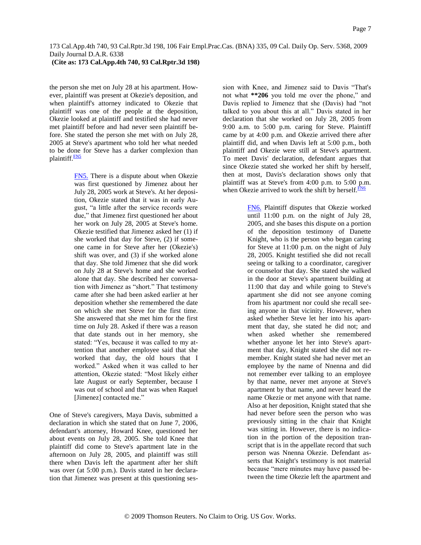the person she met on July 28 at his apartment. However, plaintiff was present at Okezie's deposition, and when plaintiff's attorney indicated to Okezie that plaintiff was one of the people at the deposition, Okezie looked at plaintiff and testified she had never met plaintiff before and had never seen plaintiff before. She stated the person she met with on July 28, 2005 at Steve's apartment who told her what needed to be done for Steve has a darker complexion than plaintiff.<sup>[FN5](#page-6-0)</sup>

> <span id="page-6-1"></span><span id="page-6-0"></span>[FN5.](#page-6-1) There is a dispute about when Okezie was first questioned by Jimenez about her July 28, 2005 work at Steve's. At her deposition, Okezie stated that it was in early August, "a little after the service records were due," that Jimenez first questioned her about her work on July 28, 2005 at Steve's home. Okezie testified that Jimenez asked her (1) if she worked that day for Steve, (2) if someone came in for Steve after her (Okezie's) shift was over, and (3) if she worked alone that day. She told Jimenez that she did work on July 28 at Steve's home and she worked alone that day. She described her conversation with Jimenez as "short." That testimony came after she had been asked earlier at her deposition whether she remembered the date on which she met Steve for the first time. She answered that she met him for the first time on July 28. Asked if there was a reason that date stands out in her memory, she stated: "Yes, because it was called to my attention that another employee said that she worked that day, the old hours that I worked." Asked when it was called to her attention, Okezie stated: "Most likely either late August or early September, because I was out of school and that was when Raquel [Jimenez] contacted me."

One of Steve's caregivers, Maya Davis, submitted a declaration in which she stated that on June 7, 2006, defendant's attorney, Howard Knee, questioned her about events on July 28, 2005. She told Knee that plaintiff did come to Steve's apartment late in the afternoon on July 28, 2005, and plaintiff was still there when Davis left the apartment after her shift was over (at 5:00 p.m.). Davis stated in her declaration that Jimenez was present at this questioning session with Knee, and Jimenez said to Davis "That's not what **\*\*206** you told me over the phone," and Davis replied to Jimenez that she (Davis) had "not talked to you about this at all." Davis stated in her declaration that she worked on July 28, 2005 from 9:00 a.m. to 5:00 p.m. caring for Steve. Plaintiff came by at 4:00 p.m. and Okezie arrived there after plaintiff did, and when Davis left at 5:00 p.m., both plaintiff and Okezie were still at Steve's apartment. To meet Davis' declaration, defendant argues that since Okezie stated she worked her shift by herself, then at most, Davis's declaration shows only that plaintiff was at Steve's from 4:00 p.m. to 5:00 p.m. when Okezie arrived to work the shift by herself. $\frac{FN6}{FN}$  $\frac{FN6}{FN}$  $\frac{FN6}{FN}$ 

> <span id="page-6-3"></span><span id="page-6-2"></span>[FN6.](#page-6-3) Plaintiff disputes that Okezie worked until 11:00 p.m. on the night of July 28, 2005, and she bases this dispute on a portion of the deposition testimony of Danette Knight, who is the person who began caring for Steve at 11:00 p.m. on the night of July 28, 2005. Knight testified she did not recall seeing or talking to a coordinator, caregiver or counselor that day. She stated she walked in the door at Steve's apartment building at 11:00 that day and while going to Steve's apartment she did not see anyone coming from his apartment nor could she recall seeing anyone in that vicinity. However, when asked whether Steve let her into his apartment that day, she stated he did not; and when asked whether she remembered whether anyone let her into Steve's apartment that day, Knight stated she did not remember. Knight stated she had never met an employee by the name of Nnenna and did not remember ever talking to an employee by that name, never met anyone at Steve's apartment by that name, and never heard the name Okezie or met anyone with that name. Also at her deposition, Knight stated that she had never before seen the person who was previously sitting in the chair that Knight was sitting in. However, there is no indication in the portion of the deposition transcript that is in the appellate record that such person was Nnenna Okezie. Defendant asserts that Knight's testimony is not material because "mere minutes may have passed between the time Okezie left the apartment and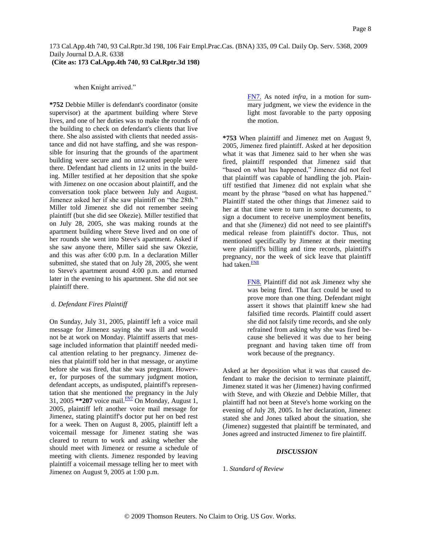when Knight arrived."

**\*752** Debbie Miller is defendant's coordinator (onsite supervisor) at the apartment building where Steve lives, and one of her duties was to make the rounds of the building to check on defendant's clients that live there. She also assisted with clients that needed assistance and did not have staffing, and she was responsible for insuring that the grounds of the apartment building were secure and no unwanted people were there. Defendant had clients in 12 units in the building. Miller testified at her deposition that she spoke with Jimenez on one occasion about plaintiff, and the conversation took place between July and August. Jimenez asked her if she saw plaintiff on "the 28th." Miller told Jimenez she did not remember seeing plaintiff (but she did see Okezie). Miller testified that on July 28, 2005, she was making rounds at the apartment building where Steve lived and on one of her rounds she went into Steve's apartment. Asked if she saw anyone there, Miller said she saw Okezie, and this was after 6:00 p.m. In a declaration Miller submitted, she stated that on July 28, 2005, she went to Steve's apartment around 4:00 p.m. and returned later in the evening to his apartment. She did not see plaintiff there.

#### d. *Defendant Fires Plaintiff*

On Sunday, July 31, 2005, plaintiff left a voice mail message for Jimenez saying she was ill and would not be at work on Monday. Plaintiff asserts that message included information that plaintiff needed medical attention relating to her pregnancy. Jimenez denies that plaintiff told her in that message, or anytime before she was fired, that she was pregnant. However, for purposes of the summary judgment motion, defendant accepts, as undisputed, plaintiff's representation that she mentioned the pregnancy in the July 31, 2005 **\*\*207** voice mail. [FN7](#page-7-0) On Monday, August 1, 2005, plaintiff left another voice mail message for Jimenez, stating plaintiff's doctor put her on bed rest for a week. Then on August 8, 2005, plaintiff left a voicemail message for Jimenez stating she was cleared to return to work and asking whether she should meet with Jimenez or resume a schedule of meeting with clients. Jimenez responded by leaving plaintiff a voicemail message telling her to meet with Jimenez on August 9, 2005 at 1:00 p.m.

<span id="page-7-0"></span>[FN7.](#page-7-1) As noted *infra,* in a motion for summary judgment, we view the evidence in the light most favorable to the party opposing the motion.

**\*753** When plaintiff and Jimenez met on August 9, 2005, Jimenez fired plaintiff. Asked at her deposition what it was that Jimenez said to her when she was fired, plaintiff responded that Jimenez said that "based on what has happened," Jimenez did not feel that plaintiff was capable of handling the job. Plaintiff testified that Jimenez did not explain what she meant by the phrase "based on what has happened." Plaintiff stated the other things that Jimenez said to her at that time were to turn in some documents, to sign a document to receive unemployment benefits, and that she (Jimenez) did not need to see plaintiff's medical release from plaintiff's doctor. Thus, not mentioned specifically by Jimenez at their meeting were plaintiff's billing and time records, plaintiff's pregnancy, nor the week of sick leave that plaintiff had taken.<sup>[FN8](#page-7-2)</sup>

> <span id="page-7-3"></span><span id="page-7-2"></span>[FN8.](#page-7-3) Plaintiff did not ask Jimenez why she was being fired. That fact could be used to prove more than one thing. Defendant might assert it shows that plaintiff knew she had falsified time records. Plaintiff could assert she did not falsify time records, and she only refrained from asking why she was fired because she believed it was due to her being pregnant and having taken time off from work because of the pregnancy.

<span id="page-7-1"></span>Asked at her deposition what it was that caused defendant to make the decision to terminate plaintiff, Jimenez stated it was her (Jimenez) having confirmed with Steve, and with Okezie and Debbie Miller, that plaintiff had not been at Steve's home working on the evening of July 28, 2005. In her declaration, Jimenez stated she and Jones talked about the situation, she (Jimenez) suggested that plaintiff be terminated, and Jones agreed and instructed Jimenez to fire plaintiff.

#### *DISCUSSION*

1. *Standard of Review*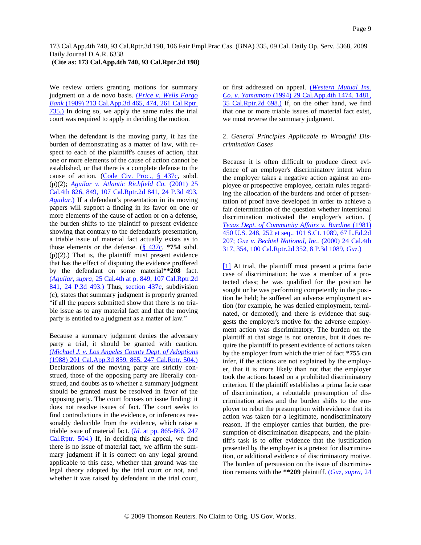**(Cite as: 173 Cal.App.4th 740, 93 Cal.Rptr.3d 198)**

We review orders granting motions for summary judgment on a de novo basis. [\(](http://www.westlaw.com/Find/Default.wl?rs=dfa1.0&vr=2.0&DB=227&FindType=Y&SerialNum=1989124331)*[Price v. Wells Fargo](http://www.westlaw.com/Find/Default.wl?rs=dfa1.0&vr=2.0&DB=227&FindType=Y&SerialNum=1989124331)  Bank* [\(1989\) 213 Cal.App.3d 465, 474, 261 Cal.Rptr.](http://www.westlaw.com/Find/Default.wl?rs=dfa1.0&vr=2.0&DB=227&FindType=Y&SerialNum=1989124331)  [735.\)](http://www.westlaw.com/Find/Default.wl?rs=dfa1.0&vr=2.0&DB=227&FindType=Y&SerialNum=1989124331) In doing so, we apply the same rules the trial court was required to apply in deciding the motion.

When the defendant is the moving party, it has the burden of demonstrating as a matter of law, with respect to each of the plaintiff's causes of action, that one or more elements of the cause of action cannot be established, or that there is a complete defense to the cause of action. [\(Code Civ. Proc., § 437c,](http://www.westlaw.com/Find/Default.wl?rs=dfa1.0&vr=2.0&DB=1000201&DocName=CACPS437C&FindType=L) subd. (p)(2); *[Aguilar v. Atlantic Richfield Co.](http://www.westlaw.com/Find/Default.wl?rs=dfa1.0&vr=2.0&DB=4645&FindType=Y&SerialNum=2001516569)* [\(2001\) 25](http://www.westlaw.com/Find/Default.wl?rs=dfa1.0&vr=2.0&DB=4645&FindType=Y&SerialNum=2001516569)  Cal.4th 826, 849, 107 Cal.Rptr.2d 841, 24 P.3d 493, *[Aguilar.](http://www.westlaw.com/Find/Default.wl?rs=dfa1.0&vr=2.0&FindType=Y&SerialNum=2001516569)*[\)](http://www.westlaw.com/Find/Default.wl?rs=dfa1.0&vr=2.0&FindType=Y&SerialNum=2001516569) If a defendant's presentation in its moving papers will support a finding in its favor on one or more elements of the cause of action or on a defense, the burden shifts to the plaintiff to present evidence showing that contrary to the defendant's presentation, a triable issue of material fact actually exists as to those elements or the defense. [\(§ 437c,](http://www.westlaw.com/Find/Default.wl?rs=dfa1.0&vr=2.0&DB=1000201&DocName=CACPS437C&FindType=L) **\*754** subd.  $(p)(2)$ .) That is, the plaintiff must present evidence that has the effect of disputing the evidence proffered by the defendant on some material**\*\*208** fact. [\(](http://www.westlaw.com/Find/Default.wl?rs=dfa1.0&vr=2.0&DB=4645&FindType=Y&SerialNum=2001516569)*[Aguilar, supra,](http://www.westlaw.com/Find/Default.wl?rs=dfa1.0&vr=2.0&DB=4645&FindType=Y&SerialNum=2001516569)* [25 Cal.4th at p. 849, 107 Cal.Rptr.2d](http://www.westlaw.com/Find/Default.wl?rs=dfa1.0&vr=2.0&DB=4645&FindType=Y&SerialNum=2001516569)  [841, 24 P.3d 493.\)](http://www.westlaw.com/Find/Default.wl?rs=dfa1.0&vr=2.0&DB=4645&FindType=Y&SerialNum=2001516569) Thus, [section 437c,](http://www.westlaw.com/Find/Default.wl?rs=dfa1.0&vr=2.0&DB=1000201&DocName=CACPS437C&FindType=L) subdivision (c), states that summary judgment is properly granted "if all the papers submitted show that there is no triable issue as to any material fact and that the moving party is entitled to a judgment as a matter of law."

Because a summary judgment denies the adversary party a trial, it should be granted with caution. [\(](http://www.westlaw.com/Find/Default.wl?rs=dfa1.0&vr=2.0&DB=227&FindType=Y&SerialNum=1988072552)*[Michael J. v. Los Angeles County Dept. of Adoptions](http://www.westlaw.com/Find/Default.wl?rs=dfa1.0&vr=2.0&DB=227&FindType=Y&SerialNum=1988072552)* [\(1988\) 201 Cal.App.3d 859, 865, 247 Cal.Rptr. 504.\)](http://www.westlaw.com/Find/Default.wl?rs=dfa1.0&vr=2.0&DB=227&FindType=Y&SerialNum=1988072552) Declarations of the moving party are strictly construed, those of the opposing party are liberally construed, and doubts as to whether a summary judgment should be granted must be resolved in favor of the opposing party. The court focuses on issue finding; it does not resolve issues of fact. The court seeks to find contradictions in the evidence, or inferences reasonably deducible from the evidence, which raise a triable issue of material fact. [\(](http://www.westlaw.com/Find/Default.wl?rs=dfa1.0&vr=2.0&DB=227&FindType=Y&SerialNum=1988072552)*[Id.](http://www.westlaw.com/Find/Default.wl?rs=dfa1.0&vr=2.0&DB=227&FindType=Y&SerialNum=1988072552)* [at pp. 865-866, 247](http://www.westlaw.com/Find/Default.wl?rs=dfa1.0&vr=2.0&DB=227&FindType=Y&SerialNum=1988072552)  [Cal.Rptr. 504.\)](http://www.westlaw.com/Find/Default.wl?rs=dfa1.0&vr=2.0&DB=227&FindType=Y&SerialNum=1988072552) If, in deciding this appeal, we find there is no issue of material fact, we affirm the summary judgment if it is correct on any legal ground applicable to this case, whether that ground was the legal theory adopted by the trial court or not, and whether it was raised by defendant in the trial court,

or first addressed on appeal. [\(](http://www.westlaw.com/Find/Default.wl?rs=dfa1.0&vr=2.0&DB=3484&FindType=Y&SerialNum=1994219702)*[Western Mutual Ins.](http://www.westlaw.com/Find/Default.wl?rs=dfa1.0&vr=2.0&DB=3484&FindType=Y&SerialNum=1994219702)  Co. v. Yamamoto* [\(1994\) 29 Cal.App.4th 1474, 1481,](http://www.westlaw.com/Find/Default.wl?rs=dfa1.0&vr=2.0&DB=3484&FindType=Y&SerialNum=1994219702)  [35 Cal.Rptr.2d 698.\)](http://www.westlaw.com/Find/Default.wl?rs=dfa1.0&vr=2.0&DB=3484&FindType=Y&SerialNum=1994219702) If, on the other hand, we find that one or more triable issues of material fact exist, we must reverse the summary judgment.

## 2. *General Principles Applicable to Wrongful Discrimination Cases*

Because it is often difficult to produce direct evidence of an employer's discriminatory intent when the employer takes a negative action against an employee or prospective employee, certain rules regarding the allocation of the burdens and order of presentation of proof have developed in order to achieve a fair determination of the question whether intentional discrimination motivated the employer's action. ( *[Texas Dept. of Community Affairs v. Burdine](http://www.westlaw.com/Find/Default.wl?rs=dfa1.0&vr=2.0&DB=780&FindType=Y&ReferencePositionType=S&SerialNum=1981109601&ReferencePosition=252)* [\(1981\)](http://www.westlaw.com/Find/Default.wl?rs=dfa1.0&vr=2.0&DB=780&FindType=Y&ReferencePositionType=S&SerialNum=1981109601&ReferencePosition=252)  450 U.S. 248, 252 et seq., 101 S.Ct. 1089, 67 L.Ed.2d 207; *[Guz v. Bechtel National, Inc.](http://www.westlaw.com/Find/Default.wl?rs=dfa1.0&vr=2.0&DB=4645&FindType=Y&SerialNum=2000561125)* [\(2000\) 24 Cal.4th](http://www.westlaw.com/Find/Default.wl?rs=dfa1.0&vr=2.0&DB=4645&FindType=Y&SerialNum=2000561125)  317, 354, 100 Cal.Rptr.2d 352, 8 P.3d 1089, *[Guz.](http://www.westlaw.com/Find/Default.wl?rs=dfa1.0&vr=2.0&FindType=Y&SerialNum=2000561125)*[\)](http://www.westlaw.com/Find/Default.wl?rs=dfa1.0&vr=2.0&FindType=Y&SerialNum=2000561125)

<span id="page-8-0"></span>[\[1\]](#page-0-0) At trial, the plaintiff must present a prima facie case of discrimination: he was a member of a protected class; he was qualified for the position he sought or he was performing competently in the position he held; he suffered an adverse employment action (for example, he was denied employment, terminated, or demoted); and there is evidence that suggests the employer's motive for the adverse employment action was discriminatory. The burden on the plaintiff at that stage is not onerous, but it does require the plaintiff to present evidence of actions taken by the employer from which the trier of fact **\*755** can infer, if the actions are not explained by the employer, that it is more likely than not that the employer took the actions based on a prohibited discriminatory criterion. If the plaintiff establishes a prima facie case of discrimination, a rebuttable presumption of discrimination arises and the burden shifts to the employer to rebut the presumption with evidence that its action was taken for a legitimate, nondiscriminatory reason. If the employer carries that burden, the presumption of discrimination disappears, and the plaintiff's task is to offer evidence that the justification presented by the employer is a pretext for discrimination, or additional evidence of discriminatory motive. The burden of persuasion on the issue of discrimination remains with the **\*\*209** plaintiff. [\(](http://www.westlaw.com/Find/Default.wl?rs=dfa1.0&vr=2.0&DB=4645&FindType=Y&SerialNum=2000561125)*[Guz, supra,](http://www.westlaw.com/Find/Default.wl?rs=dfa1.0&vr=2.0&DB=4645&FindType=Y&SerialNum=2000561125)* [24](http://www.westlaw.com/Find/Default.wl?rs=dfa1.0&vr=2.0&DB=4645&FindType=Y&SerialNum=2000561125)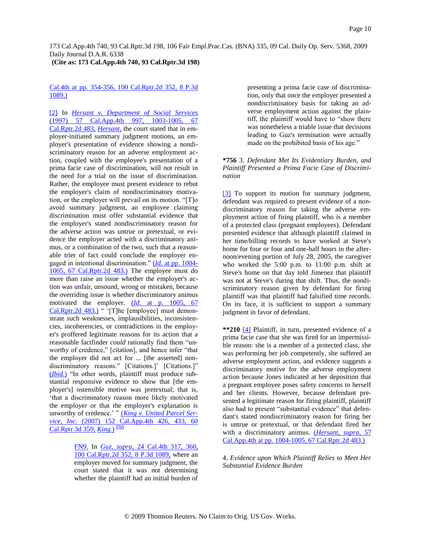**(Cite as: 173 Cal.App.4th 740, 93 Cal.Rptr.3d 198)**

## Cal.4th at pp. 354-356, 100 Cal.Rptr.2d 352, 8 P.3d 1089.)

<span id="page-9-0"></span>[\[2\]](#page-0-1) In *[Hersant v. Department of Social Services](http://www.westlaw.com/Find/Default.wl?rs=dfa1.0&vr=2.0&DB=3484&FindType=Y&SerialNum=1997192121)* (1997) 57 Cal.App.4th 997, 1003-1005, 67 Cal.Rptr.2d 483, *[Hersant,](http://www.westlaw.com/Find/Default.wl?rs=dfa1.0&vr=2.0&FindType=Y&SerialNum=1997192121)* the court stated that in employer-initiated summary judgment motions, an employer's presentation of evidence showing a nondiscriminatory reason for an adverse employment action, coupled with the employee's presentation of a prima facie case of discrimination, will not result in the need for a trial on the issue of discrimination. Rather, the employee must present evidence to rebut the employer's claim of nondiscriminatory motivation, or the employer will prevail on its motion. "[T]o avoid summary judgment, an employee claiming discrimination must offer substantial evidence that the employer's stated nondiscriminatory reason for the adverse action was untrue or pretextual, or evidence the employer acted with a discriminatory animus, or a combination of the two, such that a reasonable trier of fact could conclude the employer engaged in intentional discrimination." [\(](http://www.westlaw.com/Find/Default.wl?rs=dfa1.0&vr=2.0&DB=3484&FindType=Y&SerialNum=1997192121)*[Id.](http://www.westlaw.com/Find/Default.wl?rs=dfa1.0&vr=2.0&DB=3484&FindType=Y&SerialNum=1997192121)* [at pp. 1004-](http://www.westlaw.com/Find/Default.wl?rs=dfa1.0&vr=2.0&DB=3484&FindType=Y&SerialNum=1997192121) [1005, 67 Cal.Rptr.2d 483.\)](http://www.westlaw.com/Find/Default.wl?rs=dfa1.0&vr=2.0&DB=3484&FindType=Y&SerialNum=1997192121) The employee must do more than raise an issue whether the employer's action was unfair, unsound, wrong or mistaken, because the overriding issue is whether discriminatory animus motivated the employer. [\(](http://www.westlaw.com/Find/Default.wl?rs=dfa1.0&vr=2.0&DB=3484&FindType=Y&SerialNum=1997192121)*[Id.](http://www.westlaw.com/Find/Default.wl?rs=dfa1.0&vr=2.0&DB=3484&FindType=Y&SerialNum=1997192121)* [at p. 1005, 67](http://www.westlaw.com/Find/Default.wl?rs=dfa1.0&vr=2.0&DB=3484&FindType=Y&SerialNum=1997192121)  [Cal.Rptr.2d 483.\)](http://www.westlaw.com/Find/Default.wl?rs=dfa1.0&vr=2.0&DB=3484&FindType=Y&SerialNum=1997192121) " '[T]he [employee] must demonstrate such weaknesses, implausibilities, inconsistencies, incoherencies, or contradictions in the employer's proffered legitimate reasons for its action that a reasonable factfinder *could* rationally find them "unworthy of credence," [citation], and hence infer "that the employer did not act for ... [the asserted] nondiscriminatory reasons." [Citations.]' [Citations.]" [\(](http://www.westlaw.com/Find/Default.wl?rs=dfa1.0&vr=2.0&FindType=Y&SerialNum=1997192121)*[Ibid.](http://www.westlaw.com/Find/Default.wl?rs=dfa1.0&vr=2.0&FindType=Y&SerialNum=1997192121)*[\)](http://www.westlaw.com/Find/Default.wl?rs=dfa1.0&vr=2.0&FindType=Y&SerialNum=1997192121) "In other words, plaintiff must produce substantial responsive evidence to show that [the employer's] ostensible motive was pretextual; that is, "that a discriminatory reason more likely motivated the employer or that the employer's explanation is unworthy of credence." " [\(](http://www.westlaw.com/Find/Default.wl?rs=dfa1.0&vr=2.0&DB=7047&FindType=Y&SerialNum=2012314717)*[King v. United Parcel Ser](http://www.westlaw.com/Find/Default.wl?rs=dfa1.0&vr=2.0&DB=7047&FindType=Y&SerialNum=2012314717)vice, Inc.* [\(2007\) 152 Cal.App.4th 426, 433, 60](http://www.westlaw.com/Find/Default.wl?rs=dfa1.0&vr=2.0&DB=7047&FindType=Y&SerialNum=2012314717)  [Cal.Rptr.3d 359,](http://www.westlaw.com/Find/Default.wl?rs=dfa1.0&vr=2.0&DB=7047&FindType=Y&SerialNum=2012314717) *[King.](http://www.westlaw.com/Find/Default.wl?rs=dfa1.0&vr=2.0&FindType=Y&SerialNum=2012314717)*[\)](http://www.westlaw.com/Find/Default.wl?rs=dfa1.0&vr=2.0&FindType=Y&SerialNum=2012314717) [FN9](#page-9-3)

> <span id="page-9-4"></span><span id="page-9-3"></span>[FN9.](#page-9-4) In *[Guz, supra,](http://www.westlaw.com/Find/Default.wl?rs=dfa1.0&vr=2.0&DB=4645&FindType=Y&SerialNum=2000561125)* [24 Cal.4th 317, 360,](http://www.westlaw.com/Find/Default.wl?rs=dfa1.0&vr=2.0&DB=4645&FindType=Y&SerialNum=2000561125)  100 Cal.Rptr.2d 352, 8 P.3d 1089, where an employer moved for summary judgment, the court stated that it was not determining whether the plaintiff had an initial burden of

presenting a prima facie case of discrimination, only that once the employer presented a nondiscriminatory basis for taking an adverse employment action against the plaintiff, the plaintiff would have to "show there was nonetheless a triable issue that decisions leading to Guz's termination were actually made on the prohibited basis of his age."

### **\*756** 3. *Defendant Met Its Evidentiary Burden, and Plaintiff Presented a Prima Facie Case of Discrimination*

<span id="page-9-1"></span>[\[3\]](#page-0-2) To support its motion for summary judgment, defendant was required to present evidence of a nondiscriminatory reason for taking the adverse employment action of firing plaintiff, who is a member of a protected class (pregnant employees). Defendant presented evidence that although plaintiff claimed in her time/billing records to have worked at Steve's home for four or four and one-half hours in the afternoon/evening portion of July 28, 2005, the caregiver who worked the 5:00 p.m. to 11:00 p.m. shift at Steve's home on that day told Jimenez that plaintiff was not at Steve's during that shift. Thus, the nondiscriminatory reason given by defendant for firing plaintiff was that plaintiff had falsified time records. On its face, it is sufficient to support a summary judgment in favor of defendant.

<span id="page-9-2"></span>**\*\*210** [\[4\]](#page-0-3) Plaintiff, in turn, presented evidence of a prima facie case that she was fired for an impermissible reason: she is a member of a protected class, she was performing her job competently, she suffered an adverse employment action, and evidence suggests a discriminatory motive for the adverse employment action because Jones indicated at her deposition that a pregnant employee poses safety concerns to herself and her clients. However, because defendant presented a legitimate reason for firing plaintiff, plaintiff also had to present "substantial evidence" that defendant's stated nondiscriminatory reason for firing her is untrue or pretextual, or that defendant fired her with a discriminatory animus. [\(](http://www.westlaw.com/Find/Default.wl?rs=dfa1.0&vr=2.0&DB=3484&FindType=Y&SerialNum=1997192121)*[Hersant, supra,](http://www.westlaw.com/Find/Default.wl?rs=dfa1.0&vr=2.0&DB=3484&FindType=Y&SerialNum=1997192121)* [57](http://www.westlaw.com/Find/Default.wl?rs=dfa1.0&vr=2.0&DB=3484&FindType=Y&SerialNum=1997192121)  [Cal.App.4th at pp. 1004-1005, 67 Cal.Rptr.2d 483.\)](http://www.westlaw.com/Find/Default.wl?rs=dfa1.0&vr=2.0&DB=3484&FindType=Y&SerialNum=1997192121)

4. *Evidence upon Which Plaintiff Relies to Meet Her Substantial Evidence Burden*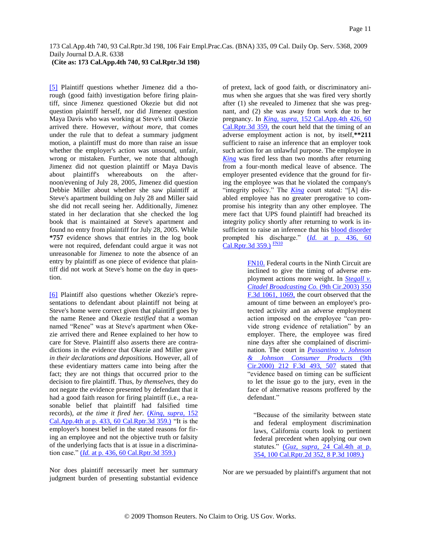<span id="page-10-0"></span>[\[5\]](#page-1-2) Plaintiff questions whether Jimenez did a thorough (good faith) investigation before firing plaintiff, since Jimenez questioned Okezie but did not question plaintiff herself, nor did Jimenez question Maya Davis who was working at Steve's until Okezie arrived there. However, *without more,* that comes under the rule that to defeat a summary judgment motion, a plaintiff must do more than raise an issue whether the employer's action was unsound, unfair, wrong or mistaken. Further, we note that although Jimenez did not question plaintiff or Maya Davis about plaintiff's whereabouts on the afternoon/evening of July 28, 2005, Jimenez did question Debbie Miller about whether she saw plaintiff at Steve's apartment building on July 28 and Miller said she did not recall seeing her. Additionally, Jimenez stated in her declaration that she checked the log book that is maintained at Steve's apartment and found no entry from plaintiff for July 28, 2005. While **\*757** evidence shows that entries in the log book were not required, defendant could argue it was not unreasonable for Jimenez to note the absence of an entry by plaintiff as one piece of evidence that plaintiff did not work at Steve's home on the day in question.

<span id="page-10-1"></span>[\[6\]](#page-1-3) Plaintiff also questions whether Okezie's representations to defendant about plaintiff not being at Steve's home were correct given that plaintiff goes by the name Renee and Okezie *testified* that a woman named "Renee" was at Steve's apartment when Okezie arrived there and Renee explained to her how to care for Steve. Plaintiff also asserts there are contradictions in the evidence that Okezie and Miller gave *in their declarations and depositions.* However, all of these evidentiary matters came into being after the fact; they are not things that occurred prior to the decision to fire plaintiff. Thus, *by themselves,* they do not negate the evidence presented by defendant that it had a good faith reason for firing plaintiff (i.e., a reasonable belief that plaintiff had falsified time records), *at the time it fired her.* [\(](http://www.westlaw.com/Find/Default.wl?rs=dfa1.0&vr=2.0&DB=7047&FindType=Y&SerialNum=2012314717)*[King, supra,](http://www.westlaw.com/Find/Default.wl?rs=dfa1.0&vr=2.0&DB=7047&FindType=Y&SerialNum=2012314717)* [152](http://www.westlaw.com/Find/Default.wl?rs=dfa1.0&vr=2.0&DB=7047&FindType=Y&SerialNum=2012314717)  [Cal.App.4th at p. 433, 60 Cal.Rptr.3d 359.\)](http://www.westlaw.com/Find/Default.wl?rs=dfa1.0&vr=2.0&DB=7047&FindType=Y&SerialNum=2012314717) "It is the employer's honest belief in the stated reasons for firing an employee and not the objective truth or falsity of the underlying facts that is at issue in a discrimination case.[" \(](http://www.westlaw.com/Find/Default.wl?rs=dfa1.0&vr=2.0&DB=7047&FindType=Y&SerialNum=2012314717)*[Id.](http://www.westlaw.com/Find/Default.wl?rs=dfa1.0&vr=2.0&DB=7047&FindType=Y&SerialNum=2012314717)* [at p. 436, 60 Cal.Rptr.3d 359.\)](http://www.westlaw.com/Find/Default.wl?rs=dfa1.0&vr=2.0&DB=7047&FindType=Y&SerialNum=2012314717)

Nor does plaintiff necessarily meet her summary judgment burden of presenting substantial evidence of pretext, lack of good faith, or discriminatory animus when she argues that she was fired very shortly after (1) she revealed to Jimenez that she was pregnant, and (2) she was away from work due to her pregnancy. In *[King, supra,](http://www.westlaw.com/Find/Default.wl?rs=dfa1.0&vr=2.0&DB=7047&FindType=Y&SerialNum=2012314717)* [152 Cal.App.4th 426, 60](http://www.westlaw.com/Find/Default.wl?rs=dfa1.0&vr=2.0&DB=7047&FindType=Y&SerialNum=2012314717)  Cal.Rptr.3d 359, the court held that the timing of an adverse employment action is not, by itself,**\*\*211** sufficient to raise an inference that an employer took such action for an unlawful purpose. The employee in *[King](http://www.westlaw.com/Find/Default.wl?rs=dfa1.0&vr=2.0&FindType=Y&SerialNum=2012314717)* was fired less than two months after returning from a four-month medical leave of absence. The employer presented evidence that the ground for firing the employee was that he violated the company's "integrity policy." The *[King](http://www.westlaw.com/Find/Default.wl?rs=dfa1.0&vr=2.0&FindType=Y&SerialNum=2012314717)* court stated: "[A] disabled employee has no greater prerogative to compromise his integrity than any other employee. The mere fact that UPS found plaintiff had breached its integrity policy shortly after returning to work is insufficient to raise an inference that his [blood disorder](http://www.westlaw.com/Find/Default.wl?rs=dfa1.0&vr=2.0&CMD=ML&DocName=Icb1f90cf475411db9765f9243f53508a&FindType=UM) prompted his discharge." [\(](http://www.westlaw.com/Find/Default.wl?rs=dfa1.0&vr=2.0&DB=7047&FindType=Y&SerialNum=2012314717)*[Id.](http://www.westlaw.com/Find/Default.wl?rs=dfa1.0&vr=2.0&DB=7047&FindType=Y&SerialNum=2012314717)* [at p. 436, 60](http://www.westlaw.com/Find/Default.wl?rs=dfa1.0&vr=2.0&DB=7047&FindType=Y&SerialNum=2012314717)  [Cal.Rptr.3d 359.\)](http://www.westlaw.com/Find/Default.wl?rs=dfa1.0&vr=2.0&DB=7047&FindType=Y&SerialNum=2012314717) [FN10](#page-10-2)

> <span id="page-10-3"></span><span id="page-10-2"></span>[FN10.](#page-10-3) Federal courts in the Ninth Circuit are inclined to give the timing of adverse employment actions more weight. In *[Stegall v.](http://www.westlaw.com/Find/Default.wl?rs=dfa1.0&vr=2.0&DB=506&FindType=Y&ReferencePositionType=S&SerialNum=2003887323&ReferencePosition=1069)  [Citadel Broadcasting Co.](http://www.westlaw.com/Find/Default.wl?rs=dfa1.0&vr=2.0&DB=506&FindType=Y&ReferencePositionType=S&SerialNum=2003887323&ReferencePosition=1069)* [\(9th Cir.2003\) 350](http://www.westlaw.com/Find/Default.wl?rs=dfa1.0&vr=2.0&DB=506&FindType=Y&ReferencePositionType=S&SerialNum=2003887323&ReferencePosition=1069)  F.3d 1061, 1069, the court observed that the amount of time between an employee's protected activity and an adverse employment action imposed on the employee "can provide strong evidence of retaliation" by an employer. There, the employee was fired nine days after she complained of discrimination. The court in *[Passantino v. Johnson](http://www.westlaw.com/Find/Default.wl?rs=dfa1.0&vr=2.0&DB=506&FindType=Y&ReferencePositionType=S&SerialNum=2000305669&ReferencePosition=507)  [& Johnson Consumer Products](http://www.westlaw.com/Find/Default.wl?rs=dfa1.0&vr=2.0&DB=506&FindType=Y&ReferencePositionType=S&SerialNum=2000305669&ReferencePosition=507)* [\(9th](http://www.westlaw.com/Find/Default.wl?rs=dfa1.0&vr=2.0&DB=506&FindType=Y&ReferencePositionType=S&SerialNum=2000305669&ReferencePosition=507)  Cir.2000) 212 F.3d 493, 507 stated that "evidence based on timing can be sufficient to let the issue go to the jury, even in the face of alternative reasons proffered by the defendant."

"Because of the similarity between state and federal employment discrimination laws, California courts look to pertinent federal precedent when applying our own statutes." [\(](http://www.westlaw.com/Find/Default.wl?rs=dfa1.0&vr=2.0&DB=4645&FindType=Y&SerialNum=2000561125)*[Guz, supra,](http://www.westlaw.com/Find/Default.wl?rs=dfa1.0&vr=2.0&DB=4645&FindType=Y&SerialNum=2000561125)* [24 Cal.4th at p.](http://www.westlaw.com/Find/Default.wl?rs=dfa1.0&vr=2.0&DB=4645&FindType=Y&SerialNum=2000561125)  [354, 100 Cal.Rptr.2d 352, 8 P.3d 1089.\)](http://www.westlaw.com/Find/Default.wl?rs=dfa1.0&vr=2.0&DB=4645&FindType=Y&SerialNum=2000561125)

Nor are we persuaded by plaintiff's argument that not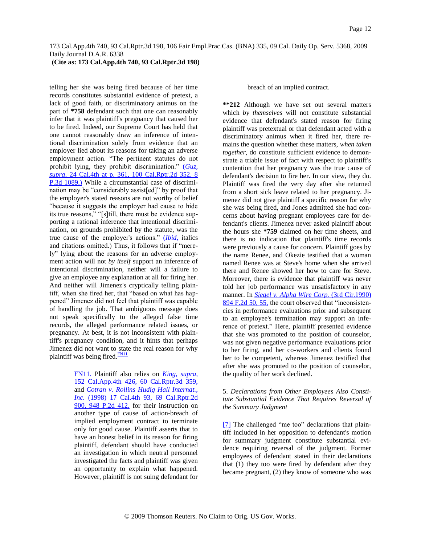## **(Cite as: 173 Cal.App.4th 740, 93 Cal.Rptr.3d 198)**

telling her she was being fired because of her time records constitutes substantial evidence of pretext, a lack of good faith, or discriminatory animus on the part of **\*758** defendant such that one can reasonably infer that it was plaintiff's pregnancy that caused her to be fired. Indeed, our Supreme Court has held that one cannot reasonably draw an inference of intentional discrimination solely from evidence that an employer lied about its reasons for taking an adverse employment action. "The pertinent statutes do not prohibit lying, they prohibit discrimination." [\(](http://www.westlaw.com/Find/Default.wl?rs=dfa1.0&vr=2.0&DB=4645&FindType=Y&SerialNum=2000561125)*[Guz,](http://www.westlaw.com/Find/Default.wl?rs=dfa1.0&vr=2.0&DB=4645&FindType=Y&SerialNum=2000561125)  supra,* [24 Cal.4th at p. 361, 100 Cal.Rptr.2d 352, 8](http://www.westlaw.com/Find/Default.wl?rs=dfa1.0&vr=2.0&DB=4645&FindType=Y&SerialNum=2000561125)  [P.3d 1089.\)](http://www.westlaw.com/Find/Default.wl?rs=dfa1.0&vr=2.0&DB=4645&FindType=Y&SerialNum=2000561125) While a circumstantial case of discrimination may be "considerably assist[ed]" by proof that the employer's stated reasons are not worthy of belief "because it suggests the employer had cause to hide its true reasons," "[s]till, there must be evidence supporting a rational inference that intentional discrimination, on grounds prohibited by the statute, was the true cause of the employer's actions." [\(](http://www.westlaw.com/Find/Default.wl?rs=dfa1.0&vr=2.0&FindType=Y&SerialNum=2000561125)*[Ibid,](http://www.westlaw.com/Find/Default.wl?rs=dfa1.0&vr=2.0&FindType=Y&SerialNum=2000561125)* italics and citations omitted.) Thus, it follows that if "merely" lying about the reasons for an adverse employment action will not *by itself* support an inference of intentional discrimination, neither will a failure to give an employee any explanation at all for firing her. And neither will Jimenez's cryptically telling plaintiff, when she fired her, that "based on what has happened" Jimenez did not feel that plaintiff was capable of handling the job. That ambiguous message does not speak specifically to the alleged false time records, the alleged performance related issues, or pregnancy. At best, it is not inconsistent with plaintiff's pregnancy condition, and it hints that perhaps Jimenez did not want to state the real reason for why plaintiff was being fired. $\frac{FN11}{FN11}$  $\frac{FN11}{FN11}$  $\frac{FN11}{FN11}$ 

> <span id="page-11-2"></span><span id="page-11-1"></span>[FN11.](#page-11-2) Plaintiff also relies on *[King, supra,](http://www.westlaw.com/Find/Default.wl?rs=dfa1.0&vr=2.0&DB=7047&FindType=Y&SerialNum=2012314717)* 152 Cal.App.4th 426, 60 Cal.Rptr.3d 359, and *[Cotran v. Rollins Hudig Hall Internat.,](http://www.westlaw.com/Find/Default.wl?rs=dfa1.0&vr=2.0&DB=661&FindType=Y&SerialNum=1998025281)  [Inc.](http://www.westlaw.com/Find/Default.wl?rs=dfa1.0&vr=2.0&DB=661&FindType=Y&SerialNum=1998025281)* [\(1998\) 17 Cal.4th 93, 69 Cal.Rptr.2d](http://www.westlaw.com/Find/Default.wl?rs=dfa1.0&vr=2.0&DB=661&FindType=Y&SerialNum=1998025281)  900, 948 P.2d 412, for their instruction on another type of cause of action-breach of implied employment contract to terminate only for good cause. Plaintiff asserts that to have an honest belief in its reason for firing plaintiff, defendant should have conducted an investigation in which neutral personnel investigated the facts and plaintiff was given an opportunity to explain what happened. However, plaintiff is not suing defendant for

breach of an implied contract.

**\*\*212** Although we have set out several matters which *by themselves* will not constitute substantial evidence that defendant's stated reason for firing plaintiff was pretextual or that defendant acted with a discriminatory animus when it fired her, there remains the question whether these matters, *when taken together,* do constitute sufficient evidence to demonstrate a triable issue of fact with respect to plaintiff's contention that her pregnancy was the true cause of defendant's decision to fire her. In our view, they do. Plaintiff was fired the very day after she returned from a short sick leave related to her pregnancy. Jimenez did not give plaintiff a specific reason for why she was being fired, and Jones admitted she had concerns about having pregnant employees care for defendant's clients. Jimenez never asked plaintiff about the hours she **\*759** claimed on her time sheets, and there is no indication that plaintiff's time records were previously a cause for concern. Plaintiff goes by the name Renee, and Okezie testified that a woman named Renee was at Steve's home when she arrived there and Renee showed her how to care for Steve. Moreover, there is evidence that plaintiff was never told her job performance was unsatisfactory in any manner. In *[Siegel v. Alpha Wire Corp.](http://www.westlaw.com/Find/Default.wl?rs=dfa1.0&vr=2.0&DB=350&FindType=Y&ReferencePositionType=S&SerialNum=1990020249&ReferencePosition=55)* [\(3rd Cir.1990\)](http://www.westlaw.com/Find/Default.wl?rs=dfa1.0&vr=2.0&DB=350&FindType=Y&ReferencePositionType=S&SerialNum=1990020249&ReferencePosition=55)  894 F.2d 50, 55, the court observed that "inconsistencies in performance evaluations prior and subsequent to an employee's termination may support an inference of pretext." Here, plaintiff presented evidence that she was promoted to the position of counselor, was not given negative performance evaluations prior to her firing, and her co-workers and clients found her to be competent, whereas Jimenez testified that after she was promoted to the position of counselor, the quality of her work declined.

## 5. *Declarations from Other Employees Also Constitute Substantial Evidence That Requires Reversal of the Summary Judgment*

<span id="page-11-0"></span>[\[7\]](#page-1-4) The challenged "me too" declarations that plaintiff included in her opposition to defendant's motion for summary judgment constitute substantial evidence requiring reversal of the judgment. Former employees of defendant stated in their declarations that (1) they too were fired by defendant after they became pregnant, (2) they know of someone who was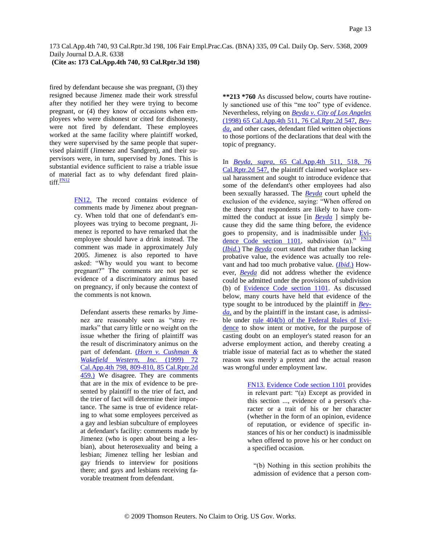## **(Cite as: 173 Cal.App.4th 740, 93 Cal.Rptr.3d 198)**

fired by defendant because she was pregnant, (3) they resigned because Jimenez made their work stressful after they notified her they were trying to become pregnant, or (4) they know of occasions when employees who were dishonest or cited for dishonesty, were not fired by defendant. These employees worked at the same facility where plaintiff worked, they were supervised by the same people that supervised plaintiff (Jimenez and Sandgren), and their supervisors were, in turn, supervised by Jones. This is substantial evidence sufficient to raise a triable issue of material fact as to why defendant fired plain-tiff.<sup>[FN12](#page-12-0)</sup>

> <span id="page-12-1"></span><span id="page-12-0"></span>[FN12.](#page-12-1) The record contains evidence of comments made by Jimenez about pregnancy. When told that one of defendant's employees was trying to become pregnant, Jimenez is reported to have remarked that the employee should have a drink instead. The comment was made in approximately July 2005. Jimenez is also reported to have asked: "Why would you want to become pregnant?" The comments are not per se evidence of a discriminatory animus based on pregnancy, if only because the context of the comments is not known.

Defendant asserts these remarks by Jimenez are reasonably seen as "stray remarks" that carry little or no weight on the issue whether the firing of plaintiff was the result of discriminatory animus on the part of defendant. [\(](http://www.westlaw.com/Find/Default.wl?rs=dfa1.0&vr=2.0&DB=3484&FindType=Y&SerialNum=1999136415)*[Horn v. Cushman &](http://www.westlaw.com/Find/Default.wl?rs=dfa1.0&vr=2.0&DB=3484&FindType=Y&SerialNum=1999136415)  Wakefield Western, Inc.* [\(1999\) 72](http://www.westlaw.com/Find/Default.wl?rs=dfa1.0&vr=2.0&DB=3484&FindType=Y&SerialNum=1999136415)  [Cal.App.4th 798, 809-810, 85 Cal.Rptr.2d](http://www.westlaw.com/Find/Default.wl?rs=dfa1.0&vr=2.0&DB=3484&FindType=Y&SerialNum=1999136415)  [459.\)](http://www.westlaw.com/Find/Default.wl?rs=dfa1.0&vr=2.0&DB=3484&FindType=Y&SerialNum=1999136415) We disagree. They are comments that are in the mix of evidence to be presented by plaintiff to the trier of fact, and the trier of fact will determine their importance. The same is true of evidence relating to what some employees perceived as a gay and lesbian subculture of employees at defendant's facility: comments made by Jimenez (who is open about being a lesbian), about heterosexuality and being a lesbian; Jimenez telling her lesbian and gay friends to interview for positions there; and gays and lesbians receiving favorable treatment from defendant.

**\*\*213 \*760** As discussed below, courts have routinely sanctioned use of this "me too" type of evidence. Nevertheless, relying on *[Beyda v. City of Los Angeles](http://www.westlaw.com/Find/Default.wl?rs=dfa1.0&vr=2.0&DB=3484&FindType=Y&SerialNum=1998141857)* (1998) 65 Cal.App.4th 511, 76 Cal.Rptr.2d 547, *[Bey](http://www.westlaw.com/Find/Default.wl?rs=dfa1.0&vr=2.0&FindType=Y&SerialNum=1998141857)[da,](http://www.westlaw.com/Find/Default.wl?rs=dfa1.0&vr=2.0&FindType=Y&SerialNum=1998141857)* and other cases, defendant filed written objections to those portions of the declarations that deal with the topic of pregnancy.

<span id="page-12-3"></span>In *[Beyda, supra,](http://www.westlaw.com/Find/Default.wl?rs=dfa1.0&vr=2.0&DB=3484&FindType=Y&SerialNum=1998141857)* [65 Cal.App.4th 511, 518, 76](http://www.westlaw.com/Find/Default.wl?rs=dfa1.0&vr=2.0&DB=3484&FindType=Y&SerialNum=1998141857)  Cal.Rptr.2d 547, the plaintiff claimed workplace sexual harassment and sought to introduce evidence that some of the defendant's other employees had also been sexually harassed. The *[Beyda](http://www.westlaw.com/Find/Default.wl?rs=dfa1.0&vr=2.0&FindType=Y&SerialNum=1998141857)* court upheld the exclusion of the evidence, saying: "When offered on the theory that respondents are likely to have committed the conduct at issue [in *[Beyda](http://www.westlaw.com/Find/Default.wl?rs=dfa1.0&vr=2.0&FindType=Y&SerialNum=1998141857)* ] simply because they did the same thing before, the evidence goes to propensity, and is inadmissible under **[Evi](http://www.westlaw.com/Find/Default.wl?rs=dfa1.0&vr=2.0&DB=1000207&DocName=CAEVS1101&FindType=L)**[dence Code section 1101,](http://www.westlaw.com/Find/Default.wl?rs=dfa1.0&vr=2.0&DB=1000207&DocName=CAEVS1101&FindType=L) subdivision (a)."  $FNI3$ [\(](http://www.westlaw.com/Find/Default.wl?rs=dfa1.0&vr=2.0&FindType=Y&SerialNum=1998141857)*[Ibid.](http://www.westlaw.com/Find/Default.wl?rs=dfa1.0&vr=2.0&FindType=Y&SerialNum=1998141857)*[\)](http://www.westlaw.com/Find/Default.wl?rs=dfa1.0&vr=2.0&FindType=Y&SerialNum=1998141857) The *[Beyda](http://www.westlaw.com/Find/Default.wl?rs=dfa1.0&vr=2.0&FindType=Y&SerialNum=1998141857)* court stated that rather than lacking probative value, the evidence was actually too relevant and had too much probative value. [\(](http://www.westlaw.com/Find/Default.wl?rs=dfa1.0&vr=2.0&FindType=Y&SerialNum=1998141857)*[Ibid.](http://www.westlaw.com/Find/Default.wl?rs=dfa1.0&vr=2.0&FindType=Y&SerialNum=1998141857)*[\)](http://www.westlaw.com/Find/Default.wl?rs=dfa1.0&vr=2.0&FindType=Y&SerialNum=1998141857) However, *[Beyda](http://www.westlaw.com/Find/Default.wl?rs=dfa1.0&vr=2.0&FindType=Y&SerialNum=1998141857)* did not address whether the evidence could be admitted under the provisions of subdivision (b) of [Evidence Code section 1101.](http://www.westlaw.com/Find/Default.wl?rs=dfa1.0&vr=2.0&DB=1000207&DocName=CAEVS1101&FindType=L) As discussed below, many courts have held that evidence of the type sought to be introduced by the plaintiff in *[Bey](http://www.westlaw.com/Find/Default.wl?rs=dfa1.0&vr=2.0&FindType=Y&SerialNum=1998141857)[da,](http://www.westlaw.com/Find/Default.wl?rs=dfa1.0&vr=2.0&FindType=Y&SerialNum=1998141857)* and by the plaintiff in the instant case, is admissible under [rule 404\(b\) of the Federal Rules of Evi](http://www.westlaw.com/Find/Default.wl?rs=dfa1.0&vr=2.0&DB=1004365&DocName=USFRER404&FindType=L)[dence](http://www.westlaw.com/Find/Default.wl?rs=dfa1.0&vr=2.0&DB=1004365&DocName=USFRER404&FindType=L) to show intent or motive, for the purpose of casting doubt on an employer's stated reason for an adverse employment action, and thereby creating a triable issue of material fact as to whether the stated reason was merely a pretext and the actual reason was wrongful under employment law.

> <span id="page-12-2"></span>[FN13.](#page-12-3) [Evidence Code section 1101](http://www.westlaw.com/Find/Default.wl?rs=dfa1.0&vr=2.0&DB=1000207&DocName=CAEVS1101&FindType=L) provides in relevant part: "(a) Except as provided in this section ..., evidence of a person's character or a trait of his or her character (whether in the form of an opinion, evidence of reputation, or evidence of specific instances of his or her conduct) is inadmissible when offered to prove his or her conduct on a specified occasion.

"(b) Nothing in this section prohibits the admission of evidence that a person com-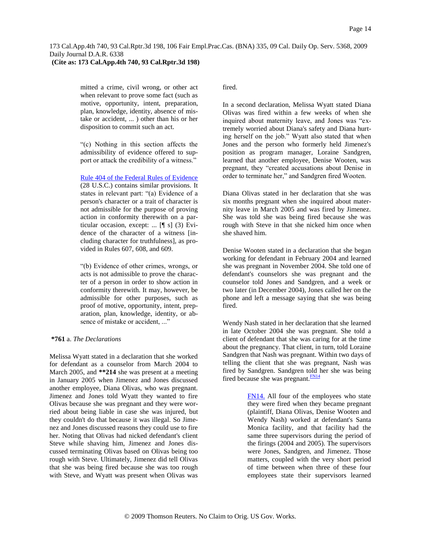mitted a crime, civil wrong, or other act when relevant to prove some fact (such as motive, opportunity, intent, preparation, plan, knowledge, identity, absence of mistake or accident, ... ) other than his or her disposition to commit such an act.

"(c) Nothing in this section affects the admissibility of evidence offered to support or attack the credibility of a witness."

[Rule 404 of the Federal Rules of Evidence](http://www.westlaw.com/Find/Default.wl?rs=dfa1.0&vr=2.0&DB=1004365&DocName=USFRER404&FindType=L) (28 U.S.C.) contains similar provisions. It states in relevant part: "(a) Evidence of a person's character or a trait of character is not admissible for the purpose of proving action in conformity therewith on a particular occasion, except: ... [¶ s] (3) Evidence of the character of a witness [including character for truthfulness], as provided in Rules 607, 608, and 609.

"(b) Evidence of other crimes, wrongs, or acts is not admissible to prove the character of a person in order to show action in conformity therewith. It may, however, be admissible for other purposes, such as proof of motive, opportunity, intent, preparation, plan, knowledge, identity, or absence of mistake or accident, ..."

### **\*761** a. *The Declarations*

Melissa Wyatt stated in a declaration that she worked for defendant as a counselor from March 2004 to March 2005, and **\*\*214** she was present at a meeting in January 2005 when Jimenez and Jones discussed another employee, Diana Olivas, who was pregnant. Jimenez and Jones told Wyatt they wanted to fire Olivas because she was pregnant and they were worried about being liable in case she was injured, but they couldn't do that because it was illegal. So Jimenez and Jones discussed reasons they could use to fire her. Noting that Olivas had nicked defendant's client Steve while shaving him, Jimenez and Jones discussed terminating Olivas based on Olivas being too rough with Steve. Ultimately, Jimenez did tell Olivas that she was being fired because she was too rough with Steve, and Wyatt was present when Olivas was fired.

In a second declaration, Melissa Wyatt stated Diana Olivas was fired within a few weeks of when she inquired about maternity leave, and Jones was "extremely worried about Diana's safety and Diana hurting herself on the job." Wyatt also stated that when Jones and the person who formerly held Jimenez's position as program manager, Loraine Sandgren, learned that another employee, Denise Wooten, was pregnant, they "created accusations about Denise in order to terminate her," and Sandgren fired Wooten.

Diana Olivas stated in her declaration that she was six months pregnant when she inquired about maternity leave in March 2005 and was fired by Jimenez. She was told she was being fired because she was rough with Steve in that she nicked him once when she shaved him.

Denise Wooten stated in a declaration that she began working for defendant in February 2004 and learned she was pregnant in November 2004. She told one of defendant's counselors she was pregnant and the counselor told Jones and Sandgren, and a week or two later (in December 2004), Jones called her on the phone and left a message saying that she was being fired.

Wendy Nash stated in her declaration that she learned in late October 2004 she was pregnant. She told a client of defendant that she was caring for at the time about the pregnancy. That client, in turn, told Loraine Sandgren that Nash was pregnant. Within two days of telling the client that she was pregnant, Nash was fired by Sandgren. Sandgren told her she was being fired because she was pregnant.<sup>[FN14](#page-13-0)</sup>

> <span id="page-13-1"></span><span id="page-13-0"></span>[FN14.](#page-13-1) All four of the employees who state they were fired when they became pregnant (plaintiff, Diana Olivas, Denise Wooten and Wendy Nash) worked at defendant's Santa Monica facility, and that facility had the same three supervisors during the period of the firings (2004 and 2005). The supervisors were Jones, Sandgren, and Jimenez. Those matters, coupled with the very short period of time between when three of these four employees state their supervisors learned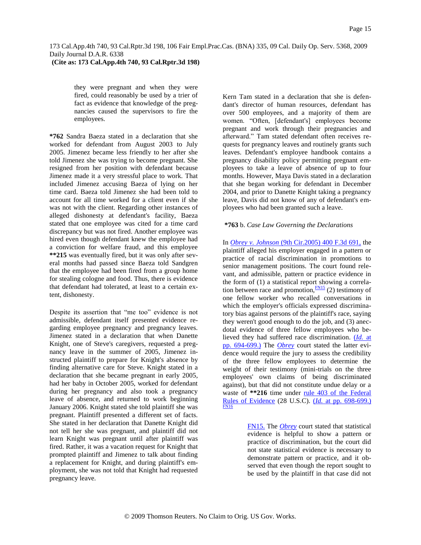they were pregnant and when they were fired, could reasonably be used by a trier of fact as evidence that knowledge of the pregnancies caused the supervisors to fire the employees.

**\*762** Sandra Baeza stated in a declaration that she worked for defendant from August 2003 to July 2005. Jimenez became less friendly to her after she told Jimenez she was trying to become pregnant. She resigned from her position with defendant because Jimenez made it a very stressful place to work. That included Jimenez accusing Baeza of lying on her time card. Baeza told Jimenez she had been told to account for all time worked for a client even if she was not with the client. Regarding other instances of alleged dishonesty at defendant's facility, Baeza stated that one employee was cited for a time card discrepancy but was not fired. Another employee was hired even though defendant knew the employee had a conviction for welfare fraud, and this employee **\*\*215** was eventually fired, but it was only after several months had passed since Baeza told Sandgren that the employee had been fired from a group home for stealing cologne and food. Thus, there is evidence that defendant had tolerated, at least to a certain extent, dishonesty.

Despite its assertion that "me too" evidence is not admissible, defendant itself presented evidence regarding employee pregnancy and pregnancy leaves. Jimenez stated in a declaration that when Danette Knight, one of Steve's caregivers, requested a pregnancy leave in the summer of 2005, Jimenez instructed plaintiff to prepare for Knight's absence by finding alternative care for Steve. Knight stated in a declaration that she became pregnant in early 2005, had her baby in October 2005, worked for defendant during her pregnancy and also took a pregnancy leave of absence, and returned to work beginning January 2006. Knight stated she told plaintiff she was pregnant. Plaintiff presented a different set of facts. She stated in her declaration that Danette Knight did not tell her she was pregnant, and plaintiff did not learn Knight was pregnant until after plaintiff was fired. Rather, it was a vacation request for Knight that prompted plaintiff and Jimenez to talk about finding a replacement for Knight, and during plaintiff's employment, she was not told that Knight had requested pregnancy leave.

Kern Tam stated in a declaration that she is defendant's director of human resources, defendant has over 500 employees, and a majority of them are women. "Often, [defendant's] employees become pregnant and work through their pregnancies and afterward." Tam stated defendant often receives requests for pregnancy leaves and routinely grants such leaves. Defendant's employee handbook contains a pregnancy disability policy permitting pregnant employees to take a leave of absence of up to four months. However, Maya Davis stated in a declaration that she began working for defendant in December 2004, and prior to Danette Knight taking a pregnancy leave, Davis did not know of any of defendant's employees who had been granted such a leave.

## **\*763** b. *Case Law Governing the Declarations*

<span id="page-14-1"></span>In *[Obrey v. Johnson](http://www.westlaw.com/Find/Default.wl?rs=dfa1.0&vr=2.0&DB=506&FindType=Y&SerialNum=2006307648)* [\(9th Cir.2005\) 400 F.3d 691,](http://www.westlaw.com/Find/Default.wl?rs=dfa1.0&vr=2.0&DB=506&FindType=Y&SerialNum=2006307648) the plaintiff alleged his employer engaged in a pattern or practice of racial discrimination in promotions to senior management positions. The court found relevant, and admissible, pattern or practice evidence in the form of (1) a statistical report showing a correlation between race and promotion, $\frac{FN15}{FN15}$  $\frac{FN15}{FN15}$  $\frac{FN15}{FN15}$  (2) testimony of one fellow worker who recalled conversations in which the employer's officials expressed discriminatory bias against persons of the plaintiff's race, saying they weren't good enough to do the job, and (3) anecdotal evidence of three fellow employees who believed they had suffered race discrimination. [\(](http://www.westlaw.com/Find/Default.wl?rs=dfa1.0&vr=2.0&FindType=Y&SerialNum=2006307648)*[Id.](http://www.westlaw.com/Find/Default.wl?rs=dfa1.0&vr=2.0&FindType=Y&SerialNum=2006307648)* [at](http://www.westlaw.com/Find/Default.wl?rs=dfa1.0&vr=2.0&FindType=Y&SerialNum=2006307648)  [pp. 694-699.\)](http://www.westlaw.com/Find/Default.wl?rs=dfa1.0&vr=2.0&FindType=Y&SerialNum=2006307648) The *[Obrey](http://www.westlaw.com/Find/Default.wl?rs=dfa1.0&vr=2.0&FindType=Y&SerialNum=2006307648)* court stated the latter evidence would require the jury to assess the credibility of the three fellow employees to determine the weight of their testimony (mini-trials on the three employees' own claims of being discriminated against), but that did not constitute undue delay or a waste of \*\*216 time under rule 403 of the Federal [Rules of Evidence](http://www.westlaw.com/Find/Default.wl?rs=dfa1.0&vr=2.0&DB=1004365&DocName=USFRER403&FindType=L) (28 U.S.C). [\(](http://www.westlaw.com/Find/Default.wl?rs=dfa1.0&vr=2.0&FindType=Y&SerialNum=2006307648)*[Id.](http://www.westlaw.com/Find/Default.wl?rs=dfa1.0&vr=2.0&FindType=Y&SerialNum=2006307648)* [at pp. 698-699.\)](http://www.westlaw.com/Find/Default.wl?rs=dfa1.0&vr=2.0&FindType=Y&SerialNum=2006307648) [FN16](#page-15-0)

> <span id="page-14-2"></span><span id="page-14-0"></span>[FN15.](#page-14-1) The *[Obrey](http://www.westlaw.com/Find/Default.wl?rs=dfa1.0&vr=2.0&FindType=Y&SerialNum=2006307648)* court stated that statistical evidence is helpful to show a pattern or practice of discrimination, but the court did not state statistical evidence is necessary to demonstrate pattern or practice, and it observed that even though the report sought to be used by the plaintiff in that case did not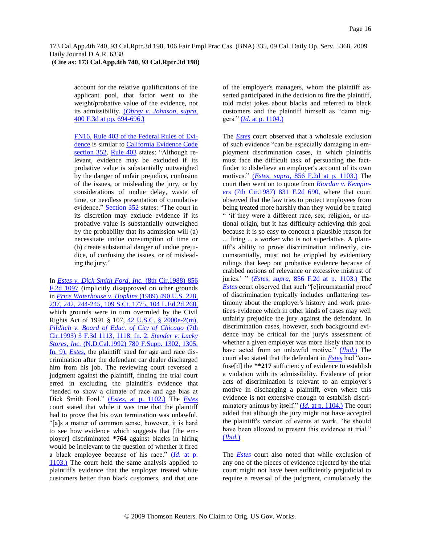account for the relative qualifications of the applicant pool, that factor went to the weight/probative value of the evidence, not its admissibility. [\(](http://www.westlaw.com/Find/Default.wl?rs=dfa1.0&vr=2.0&DB=506&FindType=Y&ReferencePositionType=S&SerialNum=2006307648&ReferencePosition=694)*[Obrey v. Johnson, supra,](http://www.westlaw.com/Find/Default.wl?rs=dfa1.0&vr=2.0&DB=506&FindType=Y&ReferencePositionType=S&SerialNum=2006307648&ReferencePosition=694)* [400 F.3d at pp. 694-696.\)](http://www.westlaw.com/Find/Default.wl?rs=dfa1.0&vr=2.0&DB=506&FindType=Y&ReferencePositionType=S&SerialNum=2006307648&ReferencePosition=694)

<span id="page-15-0"></span>[FN16.](#page-14-2) [Rule 403 of the Federal Rules of](http://www.westlaw.com/Find/Default.wl?rs=dfa1.0&vr=2.0&DB=1004365&DocName=USFRER403&FindType=L) Evi[dence](http://www.westlaw.com/Find/Default.wl?rs=dfa1.0&vr=2.0&DB=1004365&DocName=USFRER403&FindType=L) is similar to [California Evidence Code](http://www.westlaw.com/Find/Default.wl?rs=dfa1.0&vr=2.0&DB=1000207&DocName=CAEVS352&FindType=L)  [section 352.](http://www.westlaw.com/Find/Default.wl?rs=dfa1.0&vr=2.0&DB=1000207&DocName=CAEVS352&FindType=L) [Rule 403](http://www.westlaw.com/Find/Default.wl?rs=dfa1.0&vr=2.0&DB=1004365&DocName=USFRER403&FindType=L) states: "Although relevant, evidence may be excluded if its probative value is substantially outweighed by the danger of unfair prejudice, confusion of the issues, or misleading the jury, or by considerations of undue delay, waste of time, or needless presentation of cumulative evidence." [Section 352](http://www.westlaw.com/Find/Default.wl?rs=dfa1.0&vr=2.0&DB=1000207&DocName=CAEVS352&FindType=L) states: "The court in its discretion may exclude evidence if its probative value is substantially outweighed by the probability that its admission will (a) necessitate undue consumption of time or (b) create substantial danger of undue prejudice, of confusing the issues, or of misleading the jury."

In *[Estes v. Dick Smith Ford, Inc.](http://www.westlaw.com/Find/Default.wl?rs=dfa1.0&vr=2.0&DB=350&FindType=Y&SerialNum=1988113970)* [\(8th Cir.1988\) 856](http://www.westlaw.com/Find/Default.wl?rs=dfa1.0&vr=2.0&DB=350&FindType=Y&SerialNum=1988113970)  F.2d 1097 (implicitly disapproved on other grounds in *[Price Waterhouse v. Hopkins](http://www.westlaw.com/Find/Default.wl?rs=dfa1.0&vr=2.0&DB=708&FindType=Y&SerialNum=1989063356)* [\(1989\) 490 U.S. 228,](http://www.westlaw.com/Find/Default.wl?rs=dfa1.0&vr=2.0&DB=708&FindType=Y&SerialNum=1989063356)  237, 242, 244-245, 109 S.Ct. 1775, 104 L.Ed.2d 268, which grounds were in turn overruled by the Civil Rights Act of 1991 § 107, [42 U.S.C. § 2000e-2\(m\),](http://www.westlaw.com/Find/Default.wl?rs=dfa1.0&vr=2.0&DB=1000546&DocName=42USCAS2000E-2&FindType=L&ReferencePositionType=T&ReferencePosition=SP_ea62000089cc6) *[Pilditch v. Board of Educ. of City of Chicago](http://www.westlaw.com/Find/Default.wl?rs=dfa1.0&vr=2.0&DB=506&FindType=Y&ReferencePositionType=S&SerialNum=1993170008&ReferencePosition=1118)* [\(7th](http://www.westlaw.com/Find/Default.wl?rs=dfa1.0&vr=2.0&DB=506&FindType=Y&ReferencePositionType=S&SerialNum=1993170008&ReferencePosition=1118)  Cir.1993) 3 F.3d 1113, 1118, fn. 2, *[Stender v. Lucky](http://www.westlaw.com/Find/Default.wl?rs=dfa1.0&vr=2.0&DB=345&FindType=Y&ReferencePositionType=S&SerialNum=1992022717&ReferencePosition=1305)  [Stores, Inc.](http://www.westlaw.com/Find/Default.wl?rs=dfa1.0&vr=2.0&DB=345&FindType=Y&ReferencePositionType=S&SerialNum=1992022717&ReferencePosition=1305)* [\(N.D.Cal.1992\) 780 F.Supp. 1302, 1305,](http://www.westlaw.com/Find/Default.wl?rs=dfa1.0&vr=2.0&DB=345&FindType=Y&ReferencePositionType=S&SerialNum=1992022717&ReferencePosition=1305)  fn. 9), *[Estes,](http://www.westlaw.com/Find/Default.wl?rs=dfa1.0&vr=2.0&FindType=Y&SerialNum=1988113970)* the plaintiff sued for age and race discrimination after the defendant car dealer discharged him from his job. The reviewing court reversed a judgment against the plaintiff, finding the trial court erred in excluding the plaintiff's evidence that "tended to show a climate of race and age bias at Dick Smith Ford." [\(](http://www.westlaw.com/Find/Default.wl?rs=dfa1.0&vr=2.0&FindType=Y&SerialNum=1988113970)*[Estes,](http://www.westlaw.com/Find/Default.wl?rs=dfa1.0&vr=2.0&FindType=Y&SerialNum=1988113970)* [at p. 1102.\)](http://www.westlaw.com/Find/Default.wl?rs=dfa1.0&vr=2.0&FindType=Y&SerialNum=1988113970) The *[Estes](http://www.westlaw.com/Find/Default.wl?rs=dfa1.0&vr=2.0&FindType=Y&SerialNum=1988113970)* court stated that while it was true that the plaintiff had to prove that his own termination was unlawful, "[a]s a matter of common sense, however, it is hard to see how evidence which suggests that [the employer] discriminated **\*764** against blacks in hiring would be irrelevant to the question of whether it fired a black employee because of his race." [\(](http://www.westlaw.com/Find/Default.wl?rs=dfa1.0&vr=2.0&FindType=Y&SerialNum=1988113970)*[Id.](http://www.westlaw.com/Find/Default.wl?rs=dfa1.0&vr=2.0&FindType=Y&SerialNum=1988113970)* [at p.](http://www.westlaw.com/Find/Default.wl?rs=dfa1.0&vr=2.0&FindType=Y&SerialNum=1988113970)  [1103.\)](http://www.westlaw.com/Find/Default.wl?rs=dfa1.0&vr=2.0&FindType=Y&SerialNum=1988113970) The court held the same analysis applied to plaintiff's evidence that the employer treated white customers better than black customers, and that one

of the employer's managers, whom the plaintiff asserted participated in the decision to fire the plaintiff, told racist jokes about blacks and referred to black customers and the plaintiff himself as "damn niggers." [\(](http://www.westlaw.com/Find/Default.wl?rs=dfa1.0&vr=2.0&FindType=Y&SerialNum=1988113970)*[Id.](http://www.westlaw.com/Find/Default.wl?rs=dfa1.0&vr=2.0&FindType=Y&SerialNum=1988113970)* [at p. 1104.\)](http://www.westlaw.com/Find/Default.wl?rs=dfa1.0&vr=2.0&FindType=Y&SerialNum=1988113970)

The *[Estes](http://www.westlaw.com/Find/Default.wl?rs=dfa1.0&vr=2.0&FindType=Y&SerialNum=1988113970)* court observed that a wholesale exclusion of such evidence "can be especially damaging in employment discrimination cases, in which plaintiffs must face the difficult task of persuading the factfinder to disbelieve an employer's account of its own motives." [\(](http://www.westlaw.com/Find/Default.wl?rs=dfa1.0&vr=2.0&DB=350&FindType=Y&ReferencePositionType=S&SerialNum=1988113970&ReferencePosition=1103)*[Estes, supra,](http://www.westlaw.com/Find/Default.wl?rs=dfa1.0&vr=2.0&DB=350&FindType=Y&ReferencePositionType=S&SerialNum=1988113970&ReferencePosition=1103)* [856 F.2d at p. 1103.\)](http://www.westlaw.com/Find/Default.wl?rs=dfa1.0&vr=2.0&DB=350&FindType=Y&ReferencePositionType=S&SerialNum=1988113970&ReferencePosition=1103) The court then went on to quote from *[Riordan v. Kempin](http://www.westlaw.com/Find/Default.wl?rs=dfa1.0&vr=2.0&DB=350&FindType=Y&SerialNum=1987124589)[ers](http://www.westlaw.com/Find/Default.wl?rs=dfa1.0&vr=2.0&DB=350&FindType=Y&SerialNum=1987124589)* [\(7th Cir.1987\) 831 F.2d 690,](http://www.westlaw.com/Find/Default.wl?rs=dfa1.0&vr=2.0&DB=350&FindType=Y&SerialNum=1987124589) where that court observed that the law tries to protect employees from being treated more harshly than they would be treated " 'if they were a different race, sex, religion, or national origin, but it has difficulty achieving this goal because it is so easy to concoct a plausible reason for ... firing ... a worker who is not superlative. A plaintiff's ability to prove discrimination indirectly, circumstantially, must not be crippled by evidentiary rulings that keep out probative evidence because of crabbed notions of relevance or excessive mistrust of juries." " [\(](http://www.westlaw.com/Find/Default.wl?rs=dfa1.0&vr=2.0&DB=350&FindType=Y&ReferencePositionType=S&SerialNum=1988113970&ReferencePosition=1103)*[Estes, supra,](http://www.westlaw.com/Find/Default.wl?rs=dfa1.0&vr=2.0&DB=350&FindType=Y&ReferencePositionType=S&SerialNum=1988113970&ReferencePosition=1103)* [856 F.2d at p. 1103.\)](http://www.westlaw.com/Find/Default.wl?rs=dfa1.0&vr=2.0&DB=350&FindType=Y&ReferencePositionType=S&SerialNum=1988113970&ReferencePosition=1103) The *[Estes](http://www.westlaw.com/Find/Default.wl?rs=dfa1.0&vr=2.0&FindType=Y&SerialNum=1988113970)* court observed that such "[c]ircumstantial proof of discrimination typically includes unflattering testimony about the employer's history and work practices-evidence which in other kinds of cases may well unfairly prejudice the jury against the defendant. In discrimination cases, however, such background evidence may be critical for the jury's assessment of whether a given employer was more likely than not to have acted from an unlawful motive." [\(](http://www.westlaw.com/Find/Default.wl?rs=dfa1.0&vr=2.0&FindType=Y&SerialNum=1988113970)*[Ibid.](http://www.westlaw.com/Find/Default.wl?rs=dfa1.0&vr=2.0&FindType=Y&SerialNum=1988113970)*[\)](http://www.westlaw.com/Find/Default.wl?rs=dfa1.0&vr=2.0&FindType=Y&SerialNum=1988113970) The court also stated that the defendant in *[Estes](http://www.westlaw.com/Find/Default.wl?rs=dfa1.0&vr=2.0&FindType=Y&SerialNum=1988113970)* had "confuse[d] the **\*\*217** sufficiency of evidence to establish a violation with its admissibility. Evidence of prior acts of discrimination is relevant to an employer's motive in discharging a plaintiff, even where this evidence is not extensive enough to establish discriminatory animus by itself." [\(](http://www.westlaw.com/Find/Default.wl?rs=dfa1.0&vr=2.0&FindType=Y&SerialNum=1988113970)*[Id.](http://www.westlaw.com/Find/Default.wl?rs=dfa1.0&vr=2.0&FindType=Y&SerialNum=1988113970)* [at p. 1104.\)](http://www.westlaw.com/Find/Default.wl?rs=dfa1.0&vr=2.0&FindType=Y&SerialNum=1988113970) The court added that although the jury might not have accepted the plaintiff's version of events at work, "he should have been allowed to present this evidence at trial." [\(](http://www.westlaw.com/Find/Default.wl?rs=dfa1.0&vr=2.0&FindType=Y&SerialNum=1988113970)*[Ibid.](http://www.westlaw.com/Find/Default.wl?rs=dfa1.0&vr=2.0&FindType=Y&SerialNum=1988113970)*[\)](http://www.westlaw.com/Find/Default.wl?rs=dfa1.0&vr=2.0&FindType=Y&SerialNum=1988113970)

The *[Estes](http://www.westlaw.com/Find/Default.wl?rs=dfa1.0&vr=2.0&FindType=Y&SerialNum=1988113970)* court also noted that while exclusion of any one of the pieces of evidence rejected by the trial court might not have been sufficiently prejudicial to require a reversal of the judgment, cumulatively the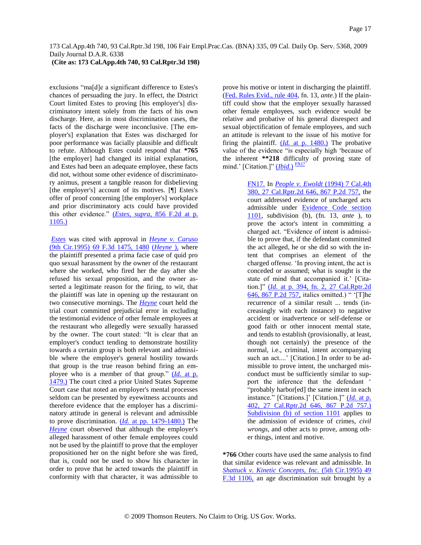## **(Cite as: 173 Cal.App.4th 740, 93 Cal.Rptr.3d 198)**

exclusions "ma[d]e a significant difference to Estes's chances of persuading the jury. In effect, the District Court limited Estes to proving [his employer's] discriminatory intent solely from the facts of his own discharge. Here, as in most discrimination cases, the facts of the discharge were inconclusive. [The employer's] explanation that Estes was discharged for poor performance was facially plausible and difficult to refute. Although Estes could respond that **\*765** [the employer] had changed its initial explanation, and Estes had been an adequate employee, these facts did not, without some other evidence of discriminatory animus, present a tangible reason for disbelieving [the employer's] account of its motives. [¶] Estes's offer of proof concerning [the employer's] workplace and prior discriminatory acts could have provided this other evidence." [\(](http://www.westlaw.com/Find/Default.wl?rs=dfa1.0&vr=2.0&DB=350&FindType=Y&ReferencePositionType=S&SerialNum=1988113970&ReferencePosition=1105)*[Estes, supra,](http://www.westlaw.com/Find/Default.wl?rs=dfa1.0&vr=2.0&DB=350&FindType=Y&ReferencePositionType=S&SerialNum=1988113970&ReferencePosition=1105)* [856 F.2d at p.](http://www.westlaw.com/Find/Default.wl?rs=dfa1.0&vr=2.0&DB=350&FindType=Y&ReferencePositionType=S&SerialNum=1988113970&ReferencePosition=1105)  [1105.\)](http://www.westlaw.com/Find/Default.wl?rs=dfa1.0&vr=2.0&DB=350&FindType=Y&ReferencePositionType=S&SerialNum=1988113970&ReferencePosition=1105)

*[Estes](http://www.westlaw.com/Find/Default.wl?rs=dfa1.0&vr=2.0&FindType=Y&SerialNum=1988113970)* was cited with approval in *[Heyne v. Caruso](http://www.westlaw.com/Find/Default.wl?rs=dfa1.0&vr=2.0&DB=506&FindType=Y&ReferencePositionType=S&SerialNum=1995223930&ReferencePosition=1480)* (9th Cir.1995) 69 F.3d 1475, 1480 [\(](http://www.westlaw.com/Find/Default.wl?rs=dfa1.0&vr=2.0&FindType=Y&SerialNum=1995223930)*[Heyne](http://www.westlaw.com/Find/Default.wl?rs=dfa1.0&vr=2.0&FindType=Y&SerialNum=1995223930)* [\),](http://www.westlaw.com/Find/Default.wl?rs=dfa1.0&vr=2.0&FindType=Y&SerialNum=1995223930) where the plaintiff presented a prima facie case of quid pro quo sexual harassment by the owner of the restaurant where she worked, who fired her the day after she refused his sexual proposition, and the owner asserted a legitimate reason for the firing, to wit, that the plaintiff was late in opening up the restaurant on two consecutive mornings. The *[Heyne](http://www.westlaw.com/Find/Default.wl?rs=dfa1.0&vr=2.0&FindType=Y&SerialNum=1995223930)* court held the trial court committed prejudicial error in excluding the testimonial evidence of other female employees at the restaurant who allegedly were sexually harassed by the owner. The court stated: "It is clear that an employer's conduct tending to demonstrate hostility towards a certain group is both relevant and admissible where the employer's general hostility towards that group is the true reason behind firing an employee who is a member of that group." [\(](http://www.westlaw.com/Find/Default.wl?rs=dfa1.0&vr=2.0&FindType=Y&SerialNum=1995223930)*[Id.](http://www.westlaw.com/Find/Default.wl?rs=dfa1.0&vr=2.0&FindType=Y&SerialNum=1995223930)* [at p.](http://www.westlaw.com/Find/Default.wl?rs=dfa1.0&vr=2.0&FindType=Y&SerialNum=1995223930)  [1479.\)](http://www.westlaw.com/Find/Default.wl?rs=dfa1.0&vr=2.0&FindType=Y&SerialNum=1995223930) The court cited a prior United States Supreme Court case that noted an employer's mental processes seldom can be presented by eyewitness accounts and therefore evidence that the employer has a discriminatory attitude in general is relevant and admissible to prove discrimination. [\(](http://www.westlaw.com/Find/Default.wl?rs=dfa1.0&vr=2.0&FindType=Y&SerialNum=1995223930)*[Id.](http://www.westlaw.com/Find/Default.wl?rs=dfa1.0&vr=2.0&FindType=Y&SerialNum=1995223930)* [at pp. 1479-1480.\)](http://www.westlaw.com/Find/Default.wl?rs=dfa1.0&vr=2.0&FindType=Y&SerialNum=1995223930) The *[Heyne](http://www.westlaw.com/Find/Default.wl?rs=dfa1.0&vr=2.0&FindType=Y&SerialNum=1995223930)* court observed that although the employer's alleged harassment of other female employees could not be used by the plaintiff to prove that the employer propositioned her on the night before she was fired, that is, could not be used to show his character in order to prove that he acted towards the plaintiff in conformity with that character, it was admissible to

prove his motive or intent in discharging the plaintiff. [\(Fed. Rules Evid., rule 404,](http://www.westlaw.com/Find/Default.wl?rs=dfa1.0&vr=2.0&DB=1004365&DocName=USFRER404&FindType=L) fn. 13, *ante.*) If the plaintiff could show that the employer sexually harassed other female employees, such evidence would be relative and probative of his general disrespect and sexual objectification of female employees, and such an attitude is relevant to the issue of his motive for firing the plaintiff. [\(](http://www.westlaw.com/Find/Default.wl?rs=dfa1.0&vr=2.0&FindType=Y&SerialNum=1995223930)*[Id.](http://www.westlaw.com/Find/Default.wl?rs=dfa1.0&vr=2.0&FindType=Y&SerialNum=1995223930)* [at p. 1480.\)](http://www.westlaw.com/Find/Default.wl?rs=dfa1.0&vr=2.0&FindType=Y&SerialNum=1995223930) The probative value of the evidence "is especially high "because of the inherent **\*\*218** difficulty of proving state of mind.' [Citation.]" *([Ibid.](http://www.westlaw.com/Find/Default.wl?rs=dfa1.0&vr=2.0&FindType=Y&SerialNum=1995223930)[\)](http://www.westlaw.com/Find/Default.wl?rs=dfa1.0&vr=2.0&FindType=Y&SerialNum=1995223930)* <sup>[FN17](#page-16-0)</sup>

> <span id="page-16-1"></span><span id="page-16-0"></span>[FN17.](#page-16-1) In *[People v. Ewoldt](http://www.westlaw.com/Find/Default.wl?rs=dfa1.0&vr=2.0&DB=661&FindType=Y&SerialNum=1994057153)* [\(1994\) 7 Cal.4th](http://www.westlaw.com/Find/Default.wl?rs=dfa1.0&vr=2.0&DB=661&FindType=Y&SerialNum=1994057153)  380, 27 Cal.Rptr.2d 646, 867 P.2d 757, the court addressed evidence of uncharged acts admissible under [Evidence Code section](http://www.westlaw.com/Find/Default.wl?rs=dfa1.0&vr=2.0&DB=1000207&DocName=CAEVS1101&FindType=L)  [1101,](http://www.westlaw.com/Find/Default.wl?rs=dfa1.0&vr=2.0&DB=1000207&DocName=CAEVS1101&FindType=L) subdivision (b), (fn. 13, *ante* ), to prove the actor's intent in committing a charged act. "Evidence of intent is admissible to prove that, if the defendant committed the act alleged, he or she did so with the intent that comprises an element of the charged offense. "In proving intent, the act is conceded or assumed; what is sought is the state of mind that accompanied it.' [Citation.]" [\(](http://www.westlaw.com/Find/Default.wl?rs=dfa1.0&vr=2.0&DB=661&FindType=Y&SerialNum=1994057153)*[Id.](http://www.westlaw.com/Find/Default.wl?rs=dfa1.0&vr=2.0&DB=661&FindType=Y&SerialNum=1994057153)* [at p. 394, fn. 2, 27 Cal.Rptr.2d](http://www.westlaw.com/Find/Default.wl?rs=dfa1.0&vr=2.0&DB=661&FindType=Y&SerialNum=1994057153)  [646, 867 P.2d 757,](http://www.westlaw.com/Find/Default.wl?rs=dfa1.0&vr=2.0&DB=661&FindType=Y&SerialNum=1994057153) italics omitted.) " "[T]he recurrence of a similar result ... tends (increasingly with each instance) to negative accident or inadvertence or self-defense or good faith or other innocent mental state, and tends to establish (provisionally, at least, though not certainly) the presence of the normal, i.e., criminal, intent accompanying such an act....' [Citation.] In order to be admissible to prove intent, the uncharged misconduct must be sufficiently similar to support the inference that the defendant " "probably harbor[ed] the same intent in each instance." [Citations.]" [Citation.]" [\(](http://www.westlaw.com/Find/Default.wl?rs=dfa1.0&vr=2.0&DB=661&FindType=Y&SerialNum=1994057153)*[Id.](http://www.westlaw.com/Find/Default.wl?rs=dfa1.0&vr=2.0&DB=661&FindType=Y&SerialNum=1994057153)* [at p.](http://www.westlaw.com/Find/Default.wl?rs=dfa1.0&vr=2.0&DB=661&FindType=Y&SerialNum=1994057153)  [402, 27 Cal.Rptr.2d 646, 867 P.2d 757.\)](http://www.westlaw.com/Find/Default.wl?rs=dfa1.0&vr=2.0&DB=661&FindType=Y&SerialNum=1994057153) [Subdivision \(b\) of section 1101](http://www.westlaw.com/Find/Default.wl?rs=dfa1.0&vr=2.0&DB=1000207&DocName=CAEVS1101&FindType=L) applies to the admission of evidence of crimes, *civil wrongs,* and other acts to prove, among other things, intent and motive.

**\*766** Other courts have used the same analysis to find that similar evidence was relevant and admissible. In *[Shattuck v. Kinetic Concepts, Inc.](http://www.westlaw.com/Find/Default.wl?rs=dfa1.0&vr=2.0&DB=506&FindType=Y&SerialNum=1995075963)* [\(5th Cir.1995\) 49](http://www.westlaw.com/Find/Default.wl?rs=dfa1.0&vr=2.0&DB=506&FindType=Y&SerialNum=1995075963)  F.3d 1106, an age discrimination suit brought by a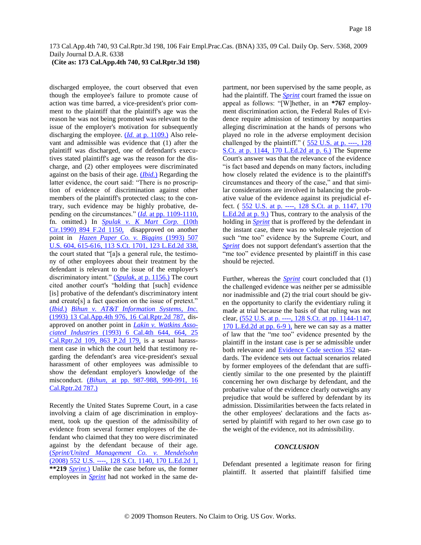## **(Cite as: 173 Cal.App.4th 740, 93 Cal.Rptr.3d 198)**

discharged employee, the court observed that even though the employee's failure to promote cause of action was time barred, a vice-president's prior comment to the plaintiff that the plaintiff's age was the reason he was not being promoted was relevant to the issue of the employer's motivation for subsequently discharging the employee. [\(](http://www.westlaw.com/Find/Default.wl?rs=dfa1.0&vr=2.0&FindType=Y&SerialNum=1995075963)*[Id.](http://www.westlaw.com/Find/Default.wl?rs=dfa1.0&vr=2.0&FindType=Y&SerialNum=1995075963)* [at p. 1109.\)](http://www.westlaw.com/Find/Default.wl?rs=dfa1.0&vr=2.0&FindType=Y&SerialNum=1995075963) Also relevant and admissible was evidence that (1) after the plaintiff was discharged, one of defendant's executives stated plaintiff's age was the reason for the discharge, and (2) other employees were discriminated against on the basis of their age. [\(](http://www.westlaw.com/Find/Default.wl?rs=dfa1.0&vr=2.0&FindType=Y&SerialNum=1995075963)*[Ibid.](http://www.westlaw.com/Find/Default.wl?rs=dfa1.0&vr=2.0&FindType=Y&SerialNum=1995075963)*[\)](http://www.westlaw.com/Find/Default.wl?rs=dfa1.0&vr=2.0&FindType=Y&SerialNum=1995075963) Regarding the latter evidence, the court said: "There is no proscription of evidence of discrimination against other members of the plaintiff's protected class; to the contrary, such evidence may be highly probative, de-pending on the circumstances." [\(](http://www.westlaw.com/Find/Default.wl?rs=dfa1.0&vr=2.0&FindType=Y&SerialNum=1995075963)*[Id.](http://www.westlaw.com/Find/Default.wl?rs=dfa1.0&vr=2.0&FindType=Y&SerialNum=1995075963)* [at pp. 1109-1110,](http://www.westlaw.com/Find/Default.wl?rs=dfa1.0&vr=2.0&FindType=Y&SerialNum=1995075963) fn. omitted.) In *[Spulak v. K Mart Corp.](http://www.westlaw.com/Find/Default.wl?rs=dfa1.0&vr=2.0&DB=350&FindType=Y&SerialNum=1990023323)* [\(10th](http://www.westlaw.com/Find/Default.wl?rs=dfa1.0&vr=2.0&DB=350&FindType=Y&SerialNum=1990023323)  Cir.1990) 894 F.2d 1150, disapproved on another point in *[Hazen Paper Co. v. Biggins](http://www.westlaw.com/Find/Default.wl?rs=dfa1.0&vr=2.0&DB=708&FindType=Y&SerialNum=1993088144)* [\(1993\) 507](http://www.westlaw.com/Find/Default.wl?rs=dfa1.0&vr=2.0&DB=708&FindType=Y&SerialNum=1993088144)  U.S. 604, 615-616, 113 S.Ct. 1701, 123 L.Ed.2d 338, the court stated that "[a]s a general rule, the testimony of other employees about their treatment by the defendant is relevant to the issue of the employer's discriminatory intent." [\(](http://www.westlaw.com/Find/Default.wl?rs=dfa1.0&vr=2.0&FindType=Y&SerialNum=1990023323)*[Spulak,](http://www.westlaw.com/Find/Default.wl?rs=dfa1.0&vr=2.0&FindType=Y&SerialNum=1990023323)* [at p. 1156.\)](http://www.westlaw.com/Find/Default.wl?rs=dfa1.0&vr=2.0&FindType=Y&SerialNum=1990023323) The court cited another court's "holding that [such] evidence [is] probative of the defendant's discriminatory intent and create[s] a fact question on the issue of pretext." [\(](http://www.westlaw.com/Find/Default.wl?rs=dfa1.0&vr=2.0&FindType=Y&SerialNum=1990023323)*[Ibid.](http://www.westlaw.com/Find/Default.wl?rs=dfa1.0&vr=2.0&FindType=Y&SerialNum=1990023323)*[\)](http://www.westlaw.com/Find/Default.wl?rs=dfa1.0&vr=2.0&FindType=Y&SerialNum=1990023323) *[Bihun v. AT&T Information Systems, Inc.](http://www.westlaw.com/Find/Default.wl?rs=dfa1.0&vr=2.0&DB=3484&FindType=Y&SerialNum=1993056061)* (1993) 13 Cal.App.4th 976, 16 Cal.Rptr.2d 787, disapproved on another point in *[Lakin v. Watkins Asso](http://www.westlaw.com/Find/Default.wl?rs=dfa1.0&vr=2.0&DB=661&FindType=Y&SerialNum=1993236252)[ciated Industries](http://www.westlaw.com/Find/Default.wl?rs=dfa1.0&vr=2.0&DB=661&FindType=Y&SerialNum=1993236252)* [\(1993\) 6 Cal.4th 644, 664, 25](http://www.westlaw.com/Find/Default.wl?rs=dfa1.0&vr=2.0&DB=661&FindType=Y&SerialNum=1993236252)  Cal.Rptr.2d 109, 863 P.2d 179, is a sexual harassment case in which the court held that testimony regarding the defendant's area vice-president's sexual harassment of other employees was admissible to show the defendant employer's knowledge of the misconduct. [\(](http://www.westlaw.com/Find/Default.wl?rs=dfa1.0&vr=2.0&DB=3484&FindType=Y&SerialNum=1993056061)*[Bihun,](http://www.westlaw.com/Find/Default.wl?rs=dfa1.0&vr=2.0&DB=3484&FindType=Y&SerialNum=1993056061)* [at pp. 987-988, 990-991, 16](http://www.westlaw.com/Find/Default.wl?rs=dfa1.0&vr=2.0&DB=3484&FindType=Y&SerialNum=1993056061)  [Cal.Rptr.2d 787.\)](http://www.westlaw.com/Find/Default.wl?rs=dfa1.0&vr=2.0&DB=3484&FindType=Y&SerialNum=1993056061)

Recently the United States Supreme Court, in a case involving a claim of age discrimination in employment, took up the question of the admissibility of evidence from several former employees of the defendant who claimed that they too were discriminated against by the defendant because of their age. [\(](http://www.westlaw.com/Find/Default.wl?rs=dfa1.0&vr=2.0&DB=708&FindType=Y&SerialNum=2015331889)*[Sprint/United Management Co. v. Mendelsohn](http://www.westlaw.com/Find/Default.wl?rs=dfa1.0&vr=2.0&DB=708&FindType=Y&SerialNum=2015331889)* [\(2008\) 552 U.S. ----, 128 S.Ct. 1140, 170 L.Ed.2d 1,](http://www.westlaw.com/Find/Default.wl?rs=dfa1.0&vr=2.0&DB=708&FindType=Y&SerialNum=2015331889) **\*\*219** *[Sprint.](http://www.westlaw.com/Find/Default.wl?rs=dfa1.0&vr=2.0&FindType=Y&SerialNum=2015331889)*[\)](http://www.westlaw.com/Find/Default.wl?rs=dfa1.0&vr=2.0&FindType=Y&SerialNum=2015331889) Unlike the case before us, the former employees in *[Sprint](http://www.westlaw.com/Find/Default.wl?rs=dfa1.0&vr=2.0&FindType=Y&SerialNum=2015331889)* had not worked in the same department, nor been supervised by the same people, as had the plaintiff. The *[Sprint](http://www.westlaw.com/Find/Default.wl?rs=dfa1.0&vr=2.0&FindType=Y&SerialNum=2015331889)* court framed the issue on appeal as follows: "[W]hether, in an **\*767** employment discrimination action, the Federal Rules of Evidence require admission of testimony by nonparties alleging discrimination at the hands of persons who played no role in the adverse employment decision challenged by the plaintiff."  $(552 \text{ U.S. at p.} -128)$ [S.Ct. at p. 1144, 170 L.Ed.2d at p. 6.\)](http://www.westlaw.com/Find/Default.wl?rs=dfa1.0&vr=2.0&DB=708&FindType=Y&ReferencePositionType=S&SerialNum=2015331889&ReferencePosition=1144) The Supreme Court's answer was that the relevance of the evidence "is fact based and depends on many factors, including how closely related the evidence is to the plaintiff's circumstances and theory of the case," and that similar considerations are involved in balancing the probative value of the evidence against its prejudicial effect. (552 U.S. at p. ----, 128 S.Ct. at p. 1147, 170 [L.Ed.2d at p. 9.\)](http://www.westlaw.com/Find/Default.wl?rs=dfa1.0&vr=2.0&DB=708&FindType=Y&ReferencePositionType=S&SerialNum=2015331889&ReferencePosition=1147) Thus, contrary to the analysis of the holding in *[Sprint](http://www.westlaw.com/Find/Default.wl?rs=dfa1.0&vr=2.0&FindType=Y&SerialNum=2015331889)* that is proffered by the defendant in the instant case, there was no wholesale rejection of such "me too" evidence by the Supreme Court, and *[Sprint](http://www.westlaw.com/Find/Default.wl?rs=dfa1.0&vr=2.0&FindType=Y&SerialNum=2015331889)* does not support defendant's assertion that the "me too" evidence presented by plaintiff in this case should be rejected.

Further, whereas the *[Sprint](http://www.westlaw.com/Find/Default.wl?rs=dfa1.0&vr=2.0&FindType=Y&SerialNum=2015331889)* court concluded that (1) the challenged evidence was neither per se admissible nor inadmissible and (2) the trial court should be given the opportunity to clarify the evidentiary ruling it made at trial because the basis of that ruling was not clear, [\(552 U.S. at p. ----, 128 S.Ct. at pp. 1144-1147,](http://www.westlaw.com/Find/Default.wl?rs=dfa1.0&vr=2.0&DB=708&FindType=Y&ReferencePositionType=S&SerialNum=2015331889&ReferencePosition=1144)  [170 L.Ed.2d at pp. 6-9 \),](http://www.westlaw.com/Find/Default.wl?rs=dfa1.0&vr=2.0&DB=708&FindType=Y&ReferencePositionType=S&SerialNum=2015331889&ReferencePosition=1144) here we can say as a matter of law that the "me too" evidence presented by the plaintiff in the instant case is per se admissible under both relevance and [Evidence Code section 352](http://www.westlaw.com/Find/Default.wl?rs=dfa1.0&vr=2.0&DB=1000207&DocName=CAEVS352&FindType=L) standards. The evidence sets out factual scenarios related by former employees of the defendant that are sufficiently similar to the one presented by the plaintiff concerning her own discharge by defendant, and the probative value of the evidence clearly outweighs any prejudice that would be suffered by defendant by its admission. Dissimilarities between the facts related in the other employees' declarations and the facts asserted by plaintiff with regard to her own case go to the weight of the evidence, not its admissibility.

#### *CONCLUSION*

Defendant presented a legitimate reason for firing plaintiff. It asserted that plaintiff falsified time